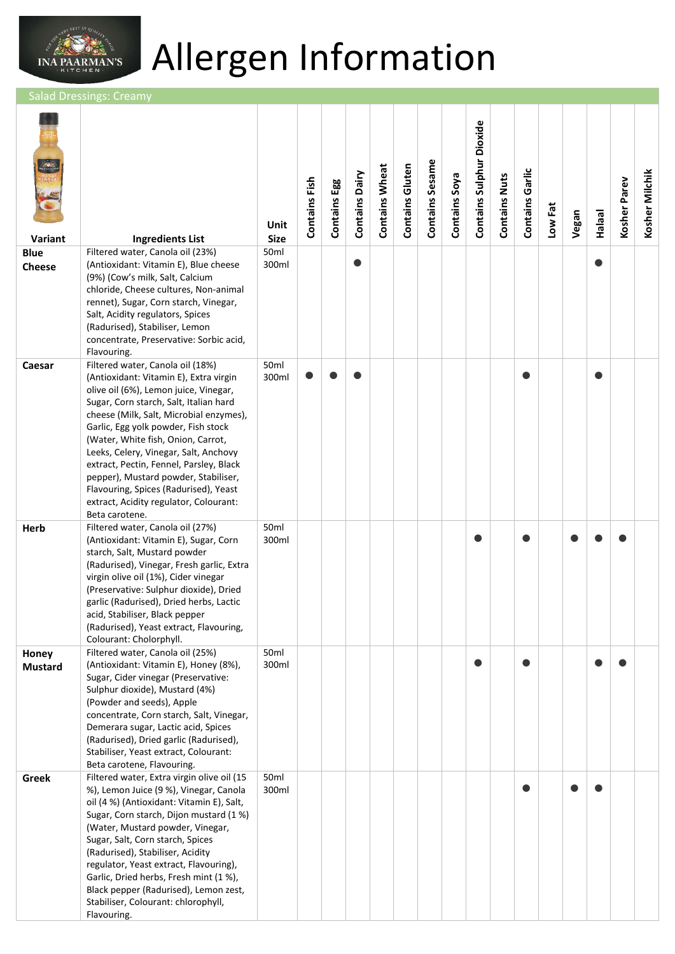

## Allergen Information

alad Dressings: Cream

| Variant                      | <b>Ingredients List</b>                                                                                                                                                                                                                                                                                                                                                                                                                                                                                                | Unit<br><b>Size</b> | Contains Fish | Contains Egg | <b>Contains Dairy</b> | <b>Contains Wheat</b> | <b>Contains Gluten</b> | <b>Contains Sesame</b> | Contains Soya | <b>Contains Sulphur Dioxide</b> | <b>Contains Nuts</b> | <b>Contains Garlic</b> | Low Fat | Vegan | <b>Halaal</b> | Kosher Parev | Kosher Milchik |
|------------------------------|------------------------------------------------------------------------------------------------------------------------------------------------------------------------------------------------------------------------------------------------------------------------------------------------------------------------------------------------------------------------------------------------------------------------------------------------------------------------------------------------------------------------|---------------------|---------------|--------------|-----------------------|-----------------------|------------------------|------------------------|---------------|---------------------------------|----------------------|------------------------|---------|-------|---------------|--------------|----------------|
| <b>Blue</b><br><b>Cheese</b> | Filtered water, Canola oil (23%)<br>(Antioxidant: Vitamin E), Blue cheese<br>(9%) (Cow's milk, Salt, Calcium<br>chloride, Cheese cultures, Non-animal<br>rennet), Sugar, Corn starch, Vinegar,<br>Salt, Acidity regulators, Spices<br>(Radurised), Stabiliser, Lemon<br>concentrate, Preservative: Sorbic acid,<br>Flavouring.                                                                                                                                                                                         | 50ml<br>300ml       |               |              |                       |                       |                        |                        |               |                                 |                      |                        |         |       |               |              |                |
| Caesar                       | Filtered water, Canola oil (18%)<br>(Antioxidant: Vitamin E), Extra virgin<br>olive oil (6%), Lemon juice, Vinegar,<br>Sugar, Corn starch, Salt, Italian hard<br>cheese (Milk, Salt, Microbial enzymes),<br>Garlic, Egg yolk powder, Fish stock<br>(Water, White fish, Onion, Carrot,<br>Leeks, Celery, Vinegar, Salt, Anchovy<br>extract, Pectin, Fennel, Parsley, Black<br>pepper), Mustard powder, Stabiliser,<br>Flavouring, Spices (Radurised), Yeast<br>extract, Acidity regulator, Colourant:<br>Beta carotene. | 50ml<br>300ml       | $\bullet$     |              |                       |                       |                        |                        |               |                                 |                      | 0                      |         |       |               |              |                |
| Herb                         | Filtered water, Canola oil (27%)<br>(Antioxidant: Vitamin E), Sugar, Corn<br>starch, Salt, Mustard powder<br>(Radurised), Vinegar, Fresh garlic, Extra<br>virgin olive oil (1%), Cider vinegar<br>(Preservative: Sulphur dioxide), Dried<br>garlic (Radurised), Dried herbs, Lactic<br>acid, Stabiliser, Black pepper<br>(Radurised), Yeast extract, Flavouring,<br>Colourant: Cholorphyll.                                                                                                                            | 50ml<br>300ml       |               |              |                       |                       |                        |                        |               |                                 |                      |                        |         |       |               |              |                |
| Honey<br><b>Mustard</b>      | Filtered water, Canola oil (25%)<br>(Antioxidant: Vitamin E), Honey (8%),<br>Sugar, Cider vinegar (Preservative:<br>Sulphur dioxide), Mustard (4%)<br>(Powder and seeds), Apple<br>concentrate, Corn starch, Salt, Vinegar,<br>Demerara sugar, Lactic acid, Spices<br>(Radurised), Dried garlic (Radurised),<br>Stabiliser, Yeast extract, Colourant:<br>Beta carotene, Flavouring.                                                                                                                                    | 50ml<br>300ml       |               |              |                       |                       |                        |                        |               |                                 |                      |                        |         |       |               |              |                |
| Greek                        | Filtered water, Extra virgin olive oil (15<br>%), Lemon Juice (9 %), Vinegar, Canola<br>oil (4 %) (Antioxidant: Vitamin E), Salt,<br>Sugar, Corn starch, Dijon mustard (1 %)<br>(Water, Mustard powder, Vinegar,<br>Sugar, Salt, Corn starch, Spices<br>(Radurised), Stabiliser, Acidity<br>regulator, Yeast extract, Flavouring),<br>Garlic, Dried herbs, Fresh mint (1 %),<br>Black pepper (Radurised), Lemon zest,<br>Stabiliser, Colourant: chlorophyll,<br>Flavouring.                                            | 50ml<br>300ml       |               |              |                       |                       |                        |                        |               |                                 |                      |                        |         |       |               |              |                |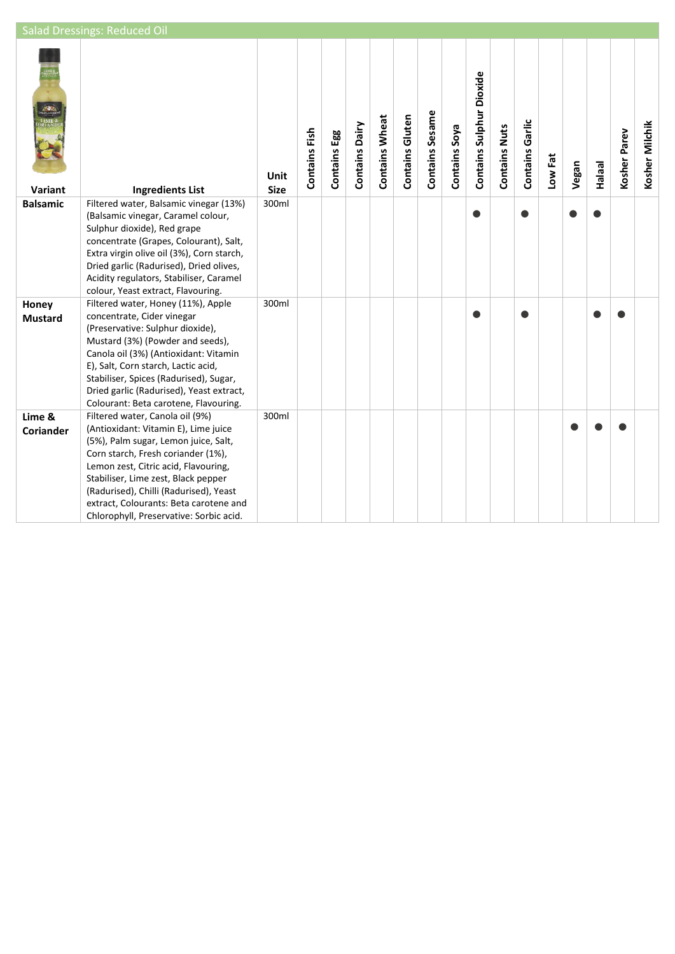|                            | <b>Salad Dressings: Reduced Oil</b>                                                                                                                                                                                                                                                                                                                                 |                            |               |              |                |                       |                 |                 |               |                                 |                      |                        |         |       |               |              |                |
|----------------------------|---------------------------------------------------------------------------------------------------------------------------------------------------------------------------------------------------------------------------------------------------------------------------------------------------------------------------------------------------------------------|----------------------------|---------------|--------------|----------------|-----------------------|-----------------|-----------------|---------------|---------------------------------|----------------------|------------------------|---------|-------|---------------|--------------|----------------|
| Variant                    | <b>Ingredients List</b>                                                                                                                                                                                                                                                                                                                                             | <b>Unit</b><br><b>Size</b> | Contains Fish | Contains Egg | Contains Dairy | <b>Contains Wheat</b> | Contains Gluten | Contains Sesame | Contains Soya | <b>Contains Sulphur Dioxide</b> | <b>Contains Nuts</b> | <b>Contains Garlic</b> | Low Fat | Vegan | <b>Halaal</b> | Kosher Parev | Kosher Milchik |
| <b>Balsamic</b>            | Filtered water, Balsamic vinegar (13%)<br>(Balsamic vinegar, Caramel colour,<br>Sulphur dioxide), Red grape<br>concentrate (Grapes, Colourant), Salt,<br>Extra virgin olive oil (3%), Corn starch,<br>Dried garlic (Radurised), Dried olives,<br>Acidity regulators, Stabiliser, Caramel<br>colour, Yeast extract, Flavouring.                                      | 300ml                      |               |              |                |                       |                 |                 |               |                                 |                      |                        |         |       |               |              |                |
| Honey<br><b>Mustard</b>    | Filtered water, Honey (11%), Apple<br>concentrate, Cider vinegar<br>(Preservative: Sulphur dioxide),<br>Mustard (3%) (Powder and seeds),<br>Canola oil (3%) (Antioxidant: Vitamin<br>E), Salt, Corn starch, Lactic acid,<br>Stabiliser, Spices (Radurised), Sugar,<br>Dried garlic (Radurised), Yeast extract,<br>Colourant: Beta carotene, Flavouring.             | 300ml                      |               |              |                |                       |                 |                 |               |                                 |                      |                        |         |       |               |              |                |
| Lime &<br><b>Coriander</b> | Filtered water, Canola oil (9%)<br>(Antioxidant: Vitamin E), Lime juice<br>(5%), Palm sugar, Lemon juice, Salt,<br>Corn starch, Fresh coriander (1%),<br>Lemon zest, Citric acid, Flavouring,<br>Stabiliser, Lime zest, Black pepper<br>(Radurised), Chilli (Radurised), Yeast<br>extract, Colourants: Beta carotene and<br>Chlorophyll, Preservative: Sorbic acid. | 300ml                      |               |              |                |                       |                 |                 |               |                                 |                      |                        |         |       |               |              |                |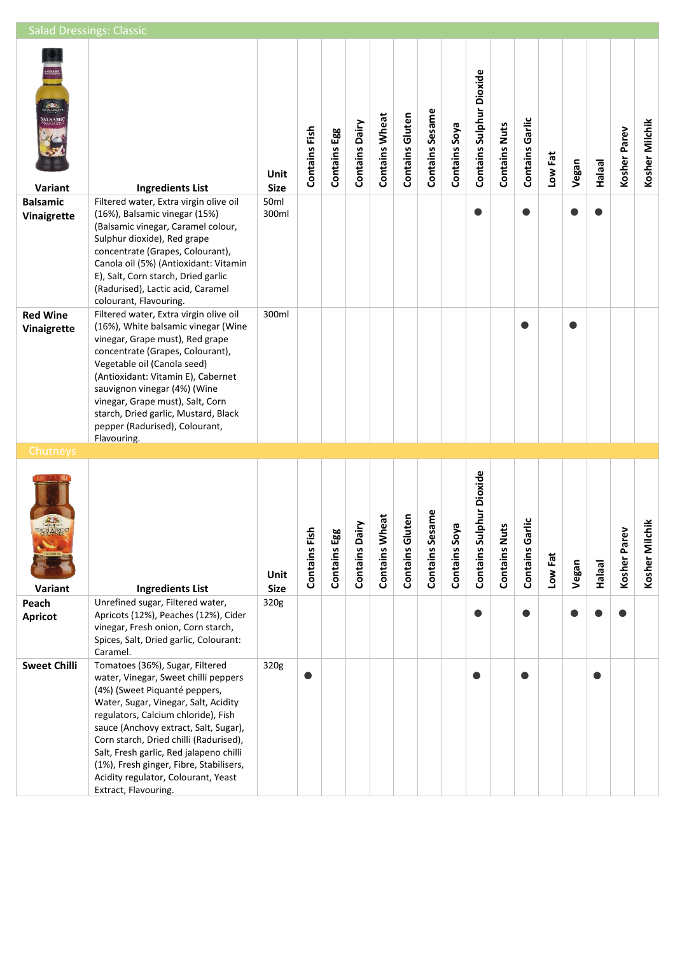| <b>Salad Dressings: Classic</b>                         |                                                                                                                                                                                                                                                                                                                                                                                                                                 |                     |               |              |                |                       |                     |                 |               |                              |                      |                      |         |       |               |              |                |
|---------------------------------------------------------|---------------------------------------------------------------------------------------------------------------------------------------------------------------------------------------------------------------------------------------------------------------------------------------------------------------------------------------------------------------------------------------------------------------------------------|---------------------|---------------|--------------|----------------|-----------------------|---------------------|-----------------|---------------|------------------------------|----------------------|----------------------|---------|-------|---------------|--------------|----------------|
| <b>RANGER</b><br><b>BALSAMI</b><br>Inaigrefi<br>Variant | <b>Ingredients List</b>                                                                                                                                                                                                                                                                                                                                                                                                         | Unit<br><b>Size</b> | Contains Fish | Contains Egg | Contains Dairy | <b>Contains Wheat</b> | Contains Gluten     | Contains Sesame | Contains Soya | Contains Sulphur Dioxide     | <b>Contains Nuts</b> | Contains Garlic      | Low Fat | Vegan | <b>Halaal</b> | Kosher Parev | Kosher Milchik |
| <b>Balsamic</b><br>Vinaigrette                          | Filtered water, Extra virgin olive oil<br>(16%), Balsamic vinegar (15%)<br>(Balsamic vinegar, Caramel colour,<br>Sulphur dioxide), Red grape<br>concentrate (Grapes, Colourant),<br>Canola oil (5%) (Antioxidant: Vitamin<br>E), Salt, Corn starch, Dried garlic<br>(Radurised), Lactic acid, Caramel<br>colourant, Flavouring.                                                                                                 | 50ml<br>300ml       |               |              |                |                       |                     |                 |               |                              |                      | $\bullet$            |         |       |               |              |                |
| <b>Red Wine</b><br>Vinaigrette                          | Filtered water, Extra virgin olive oil<br>(16%), White balsamic vinegar (Wine<br>vinegar, Grape must), Red grape<br>concentrate (Grapes, Colourant),<br>Vegetable oil (Canola seed)<br>(Antioxidant: Vitamin E), Cabernet<br>sauvignon vinegar (4%) (Wine<br>vinegar, Grape must), Salt, Corn<br>starch, Dried garlic, Mustard, Black<br>pepper (Radurised), Colourant,<br>Flavouring.                                          | 300ml               |               |              |                |                       |                     |                 |               |                              |                      |                      |         |       |               |              |                |
| Chutneys<br>PEACH APRICOT<br>Variant                    | <b>Ingredients List</b>                                                                                                                                                                                                                                                                                                                                                                                                         | Unit<br><b>Size</b> | Contains Fish | Contains Egg | Contains Dairy | heat<br>Contains W    | uten<br>Contains Gl | Contains Sesame | Contains Soya | Iphur Dioxide<br>Contains Su | <b>Contains Nuts</b> | irlic<br>Contains Ga | Low Fat | Vegan | <b>Halaal</b> | Kosher Parev | Kosher Milchik |
| Peach<br><b>Apricot</b>                                 | Unrefined sugar, Filtered water,<br>Apricots (12%), Peaches (12%), Cider<br>vinegar, Fresh onion, Corn starch,<br>Spices, Salt, Dried garlic, Colourant:<br>Caramel.                                                                                                                                                                                                                                                            | 320g                |               |              |                |                       |                     |                 |               |                              |                      | ●                    |         |       |               |              |                |
| <b>Sweet Chilli</b>                                     | Tomatoes (36%), Sugar, Filtered<br>water, Vinegar, Sweet chilli peppers<br>(4%) (Sweet Piquanté peppers,<br>Water, Sugar, Vinegar, Salt, Acidity<br>regulators, Calcium chloride), Fish<br>sauce (Anchovy extract, Salt, Sugar),<br>Corn starch, Dried chilli (Radurised),<br>Salt, Fresh garlic, Red jalapeno chilli<br>(1%), Fresh ginger, Fibre, Stabilisers,<br>Acidity regulator, Colourant, Yeast<br>Extract, Flavouring. | 320g                |               |              |                |                       |                     |                 |               | O                            |                      | ●                    |         |       |               |              |                |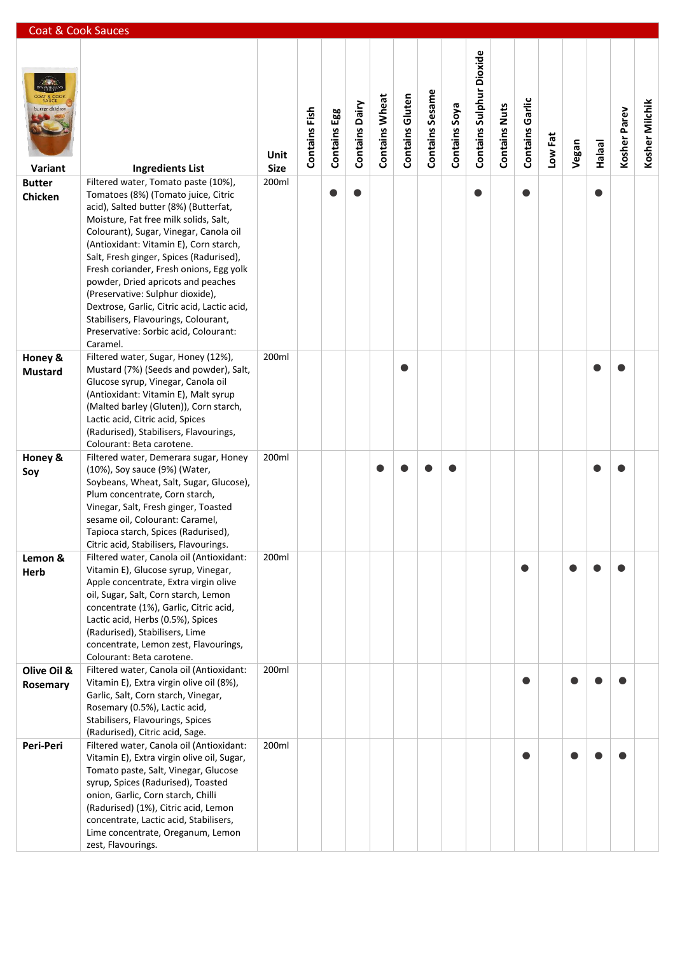| Coat & Cook Sauces        |                                                                                                                                                                                                                                                                                                                                                                                                                                                                                                                       |                     |               |              |                       |                       |                 |                 |               |                          |                      |                 |         |       |               |              |                |
|---------------------------|-----------------------------------------------------------------------------------------------------------------------------------------------------------------------------------------------------------------------------------------------------------------------------------------------------------------------------------------------------------------------------------------------------------------------------------------------------------------------------------------------------------------------|---------------------|---------------|--------------|-----------------------|-----------------------|-----------------|-----------------|---------------|--------------------------|----------------------|-----------------|---------|-------|---------------|--------------|----------------|
| butter chicken<br>Variant | <b>Ingredients List</b>                                                                                                                                                                                                                                                                                                                                                                                                                                                                                               | Unit<br><b>Size</b> | Contains Fish | Contains Egg | <b>Contains Dairy</b> | <b>Contains Wheat</b> | Contains Gluten | Contains Sesame | Contains Soya | Contains Sulphur Dioxide | <b>Contains Nuts</b> | Contains Garlic | Low Fat | Vegan | <b>Halaal</b> | Kosher Parev | Kosher Milchik |
| <b>Butter</b>             | Filtered water, Tomato paste (10%),                                                                                                                                                                                                                                                                                                                                                                                                                                                                                   | 200ml               |               |              |                       |                       |                 |                 |               |                          |                      |                 |         |       |               |              |                |
| Chicken                   | Tomatoes (8%) (Tomato juice, Citric<br>acid), Salted butter (8%) (Butterfat,<br>Moisture, Fat free milk solids, Salt,<br>Colourant), Sugar, Vinegar, Canola oil<br>(Antioxidant: Vitamin E), Corn starch,<br>Salt, Fresh ginger, Spices (Radurised),<br>Fresh coriander, Fresh onions, Egg yolk<br>powder, Dried apricots and peaches<br>(Preservative: Sulphur dioxide),<br>Dextrose, Garlic, Citric acid, Lactic acid,<br>Stabilisers, Flavourings, Colourant,<br>Preservative: Sorbic acid, Colourant:<br>Caramel. |                     |               | $\bullet$    |                       |                       |                 |                 |               | $\bullet$                |                      | $\bullet$       |         |       |               |              |                |
| Honey &                   | Filtered water, Sugar, Honey (12%),                                                                                                                                                                                                                                                                                                                                                                                                                                                                                   | 200ml               |               |              |                       |                       |                 |                 |               |                          |                      |                 |         |       |               |              |                |
| <b>Mustard</b>            | Mustard (7%) (Seeds and powder), Salt,<br>Glucose syrup, Vinegar, Canola oil<br>(Antioxidant: Vitamin E), Malt syrup<br>(Malted barley (Gluten)), Corn starch,<br>Lactic acid, Citric acid, Spices<br>(Radurised), Stabilisers, Flavourings,<br>Colourant: Beta carotene.                                                                                                                                                                                                                                             |                     |               |              |                       |                       |                 |                 |               |                          |                      |                 |         |       |               |              |                |
| Honey &                   | Filtered water, Demerara sugar, Honey                                                                                                                                                                                                                                                                                                                                                                                                                                                                                 | 200ml               |               |              |                       |                       |                 |                 |               |                          |                      |                 |         |       |               |              |                |
| Soy                       | (10%), Soy sauce (9%) (Water,<br>Soybeans, Wheat, Salt, Sugar, Glucose),<br>Plum concentrate, Corn starch,<br>Vinegar, Salt, Fresh ginger, Toasted<br>sesame oil, Colourant: Caramel,<br>Tapioca starch, Spices (Radurised),<br>Citric acid, Stabilisers, Flavourings.                                                                                                                                                                                                                                                |                     |               |              |                       |                       |                 |                 |               |                          |                      |                 |         |       |               |              |                |
| Lemon &                   | Filtered water, Canola oil (Antioxidant:                                                                                                                                                                                                                                                                                                                                                                                                                                                                              | 200ml               |               |              |                       |                       |                 |                 |               |                          |                      |                 |         |       |               |              |                |
| Herb                      | Vitamin E), Glucose syrup, Vinegar,<br>Apple concentrate, Extra virgin olive<br>oil, Sugar, Salt, Corn starch, Lemon<br>concentrate (1%), Garlic, Citric acid,<br>Lactic acid, Herbs (0.5%), Spices<br>(Radurised), Stabilisers, Lime<br>concentrate, Lemon zest, Flavourings,<br>Colourant: Beta carotene.                                                                                                                                                                                                           |                     |               |              |                       |                       |                 |                 |               |                          |                      |                 |         |       |               |              |                |
| Olive Oil &<br>Rosemary   | Filtered water, Canola oil (Antioxidant:<br>Vitamin E), Extra virgin olive oil (8%),<br>Garlic, Salt, Corn starch, Vinegar,<br>Rosemary (0.5%), Lactic acid,<br>Stabilisers, Flavourings, Spices                                                                                                                                                                                                                                                                                                                      | 200ml               |               |              |                       |                       |                 |                 |               |                          |                      |                 |         |       |               |              |                |
|                           | (Radurised), Citric acid, Sage.                                                                                                                                                                                                                                                                                                                                                                                                                                                                                       |                     |               |              |                       |                       |                 |                 |               |                          |                      |                 |         |       |               |              |                |
| Peri-Peri                 | Filtered water, Canola oil (Antioxidant:<br>Vitamin E), Extra virgin olive oil, Sugar,<br>Tomato paste, Salt, Vinegar, Glucose<br>syrup, Spices (Radurised), Toasted<br>onion, Garlic, Corn starch, Chilli<br>(Radurised) (1%), Citric acid, Lemon<br>concentrate, Lactic acid, Stabilisers,<br>Lime concentrate, Oreganum, Lemon<br>zest, Flavourings.                                                                                                                                                               | 200ml               |               |              |                       |                       |                 |                 |               |                          |                      |                 |         |       |               |              |                |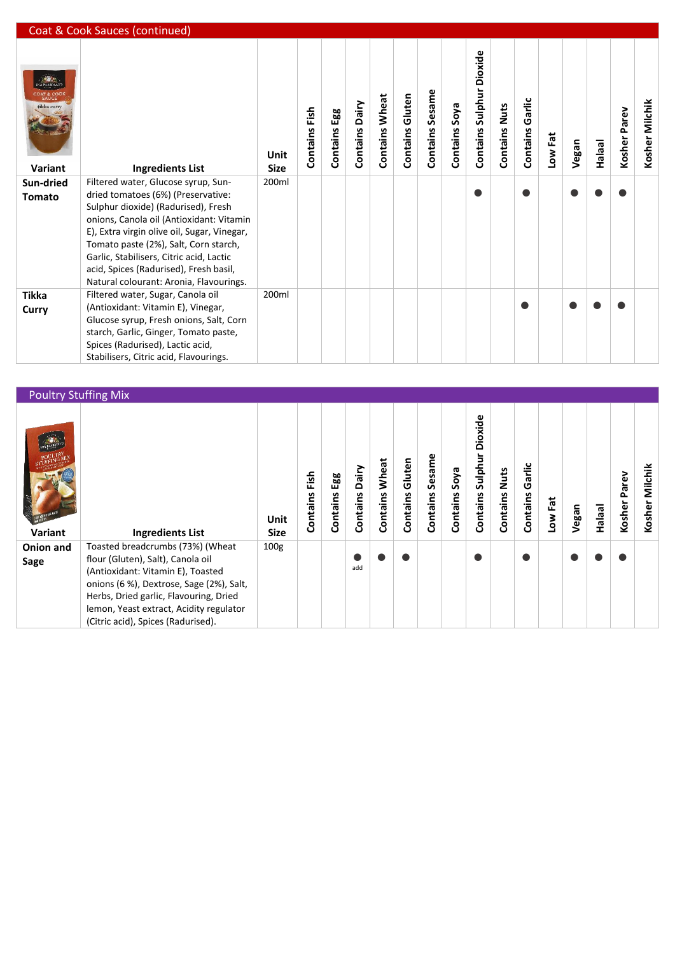|                                                           | Coat & Cook Sauces (continued)                                                                                                                                                                                                                                                                                                                                                        |                     |               |                 |                   |                       |                        |                 |               |                             |                         |                    |         |       |               |                 |                |
|-----------------------------------------------------------|---------------------------------------------------------------------------------------------------------------------------------------------------------------------------------------------------------------------------------------------------------------------------------------------------------------------------------------------------------------------------------------|---------------------|---------------|-----------------|-------------------|-----------------------|------------------------|-----------------|---------------|-----------------------------|-------------------------|--------------------|---------|-------|---------------|-----------------|----------------|
| <b>NA PAARMA?</b><br>coat & coo<br>tikka curry<br>Variant | <b>Ingredients List</b>                                                                                                                                                                                                                                                                                                                                                               | Unit<br><b>Size</b> | Contains Fish | Egg<br>Contains | Dairy<br>Contains | <b>Contains Wheat</b> | <b>Contains Gluten</b> | Contains Sesame | Contains Soya | Dioxide<br>Contains Sulphur | Nuts<br><b>Contains</b> | Garlic<br>Contains | Low Fat | Vegan | <b>Halaal</b> | Parev<br>Kosher | Kosher Milchik |
| Sun-dried<br><b>Tomato</b>                                | Filtered water, Glucose syrup, Sun-<br>dried tomatoes (6%) (Preservative:<br>Sulphur dioxide) (Radurised), Fresh<br>onions, Canola oil (Antioxidant: Vitamin<br>E), Extra virgin olive oil, Sugar, Vinegar,<br>Tomato paste (2%), Salt, Corn starch,<br>Garlic, Stabilisers, Citric acid, Lactic<br>acid, Spices (Radurised), Fresh basil,<br>Natural colourant: Aronia, Flavourings. | 200ml               |               |                 |                   |                       |                        |                 |               |                             |                         |                    |         |       |               |                 |                |
| <b>Tikka</b><br>Curry                                     | Filtered water, Sugar, Canola oil<br>(Antioxidant: Vitamin E), Vinegar,<br>Glucose syrup, Fresh onions, Salt, Corn<br>starch, Garlic, Ginger, Tomato paste,<br>Spices (Radurised), Lactic acid,<br>Stabilisers, Citric acid, Flavourings.                                                                                                                                             | 200ml               |               |                 |                   |                       |                        |                 |               |                             |                         |                    |         |       |               |                 |                |

| <b>Poultry Stuffing Mix</b> |                                                                                                                                                                                                                                                                                   |                     |                  |                 |                   |                   |                    |                    |                  |                                |                  |                    |         |       |               |                 |                   |
|-----------------------------|-----------------------------------------------------------------------------------------------------------------------------------------------------------------------------------------------------------------------------------------------------------------------------------|---------------------|------------------|-----------------|-------------------|-------------------|--------------------|--------------------|------------------|--------------------------------|------------------|--------------------|---------|-------|---------------|-----------------|-------------------|
| Variant                     | <b>Ingredients List</b>                                                                                                                                                                                                                                                           | Unit<br><b>Size</b> | Fish<br>Contains | Egg<br>Contains | Dairy<br>Contains | Wheat<br>Contains | Gluten<br>Contains | Sesame<br>Contains | Soya<br>Contains | Dioxide<br>Sulphur<br>Contains | Nuts<br>Contains | Garlic<br>Contains | Low Fat | Vegan | <b>Halaal</b> | Parev<br>Kosher | Milchik<br>Kosher |
| Onion and<br>Sage           | Toasted breadcrumbs (73%) (Wheat<br>flour (Gluten), Salt), Canola oil<br>(Antioxidant: Vitamin E), Toasted<br>onions (6 %), Dextrose, Sage (2%), Salt,<br>Herbs, Dried garlic, Flavouring, Dried<br>lemon, Yeast extract, Acidity regulator<br>(Citric acid), Spices (Radurised). | 100 <sub>g</sub>    |                  |                 | add               |                   |                    |                    |                  |                                |                  |                    |         |       |               |                 |                   |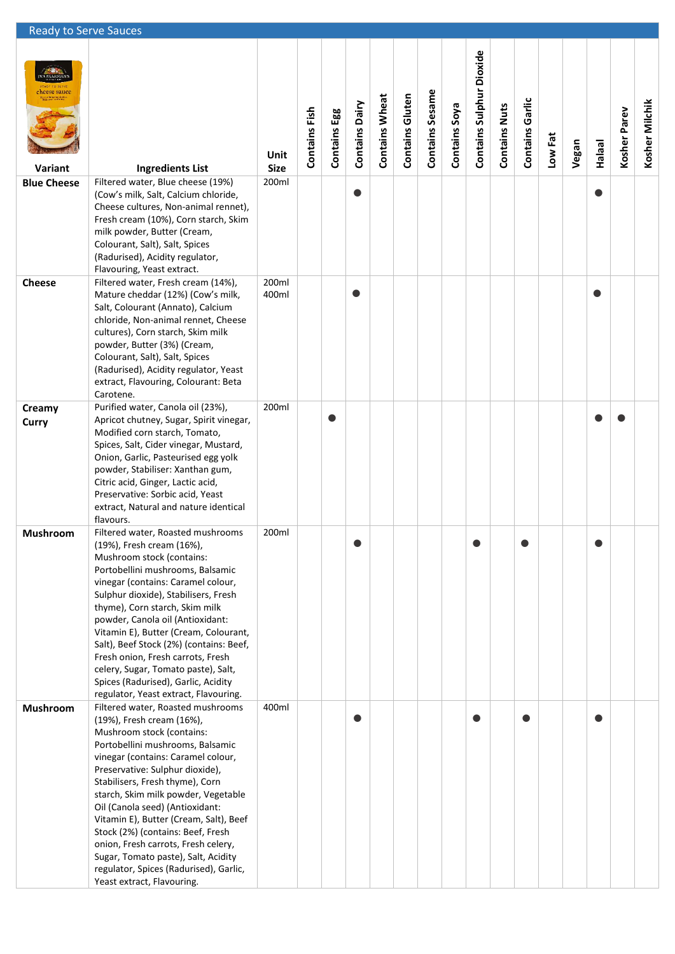| <b>Ready to Serve Sauces</b> |                                                                                                                                                                                                                                                                                                                                                                                                                                                                                                                                                            |                     |               |              |                       |                       |                        |                 |               |                          |                      |                        |         |       |               |              |                |
|------------------------------|------------------------------------------------------------------------------------------------------------------------------------------------------------------------------------------------------------------------------------------------------------------------------------------------------------------------------------------------------------------------------------------------------------------------------------------------------------------------------------------------------------------------------------------------------------|---------------------|---------------|--------------|-----------------------|-----------------------|------------------------|-----------------|---------------|--------------------------|----------------------|------------------------|---------|-------|---------------|--------------|----------------|
| heese sauce:<br>Variant      | <b>Ingredients List</b>                                                                                                                                                                                                                                                                                                                                                                                                                                                                                                                                    | Unit<br><b>Size</b> | Contains Fish | Contains Egg | <b>Contains Dairy</b> | <b>Contains Wheat</b> | <b>Contains Gluten</b> | Contains Sesame | Contains Soya | Contains Sulphur Dioxide | <b>Contains Nuts</b> | <b>Contains Garlic</b> | Low Fat | Vegan | <b>Halaal</b> | Kosher Parev | Kosher Milchik |
| <b>Blue Cheese</b>           | Filtered water, Blue cheese (19%)<br>(Cow's milk, Salt, Calcium chloride,<br>Cheese cultures, Non-animal rennet),<br>Fresh cream (10%), Corn starch, Skim<br>milk powder, Butter (Cream,<br>Colourant, Salt), Salt, Spices<br>(Radurised), Acidity regulator,<br>Flavouring, Yeast extract.                                                                                                                                                                                                                                                                | 200ml               |               |              | O                     |                       |                        |                 |               |                          |                      |                        |         |       |               |              |                |
| <b>Cheese</b>                | Filtered water, Fresh cream (14%),<br>Mature cheddar (12%) (Cow's milk,<br>Salt, Colourant (Annato), Calcium<br>chloride, Non-animal rennet, Cheese<br>cultures), Corn starch, Skim milk<br>powder, Butter (3%) (Cream,<br>Colourant, Salt), Salt, Spices<br>(Radurised), Acidity regulator, Yeast<br>extract, Flavouring, Colourant: Beta<br>Carotene.                                                                                                                                                                                                    | 200ml<br>400ml      |               |              |                       |                       |                        |                 |               |                          |                      |                        |         |       | e             |              |                |
| Creamy<br>Curry              | Purified water, Canola oil (23%),<br>Apricot chutney, Sugar, Spirit vinegar,<br>Modified corn starch, Tomato,<br>Spices, Salt, Cider vinegar, Mustard,<br>Onion, Garlic, Pasteurised egg yolk<br>powder, Stabiliser: Xanthan gum,<br>Citric acid, Ginger, Lactic acid,<br>Preservative: Sorbic acid, Yeast<br>extract, Natural and nature identical<br>flavours.                                                                                                                                                                                           | 200ml               |               | $\bullet$    |                       |                       |                        |                 |               |                          |                      |                        |         |       |               |              |                |
| Mushroom                     | Filtered water, Roasted mushrooms<br>(19%), Fresh cream (16%),<br>Mushroom stock (contains:<br>Portobellini mushrooms, Balsamic<br>vinegar (contains: Caramel colour,<br>Sulphur dioxide), Stabilisers, Fresh<br>thyme), Corn starch, Skim milk<br>powder, Canola oil (Antioxidant:<br>Vitamin E), Butter (Cream, Colourant,<br>Salt), Beef Stock (2%) (contains: Beef,<br>Fresh onion, Fresh carrots, Fresh<br>celery, Sugar, Tomato paste), Salt,<br>Spices (Radurised), Garlic, Acidity<br>regulator, Yeast extract, Flavouring.                        | 200ml               |               |              |                       |                       |                        |                 |               |                          |                      |                        |         |       |               |              |                |
| Mushroom                     | Filtered water, Roasted mushrooms<br>(19%), Fresh cream (16%),<br>Mushroom stock (contains:<br>Portobellini mushrooms, Balsamic<br>vinegar (contains: Caramel colour,<br>Preservative: Sulphur dioxide),<br>Stabilisers, Fresh thyme), Corn<br>starch, Skim milk powder, Vegetable<br>Oil (Canola seed) (Antioxidant:<br>Vitamin E), Butter (Cream, Salt), Beef<br>Stock (2%) (contains: Beef, Fresh<br>onion, Fresh carrots, Fresh celery,<br>Sugar, Tomato paste), Salt, Acidity<br>regulator, Spices (Radurised), Garlic,<br>Yeast extract, Flavouring. | 400ml               |               |              |                       |                       |                        |                 |               |                          |                      |                        |         |       |               |              |                |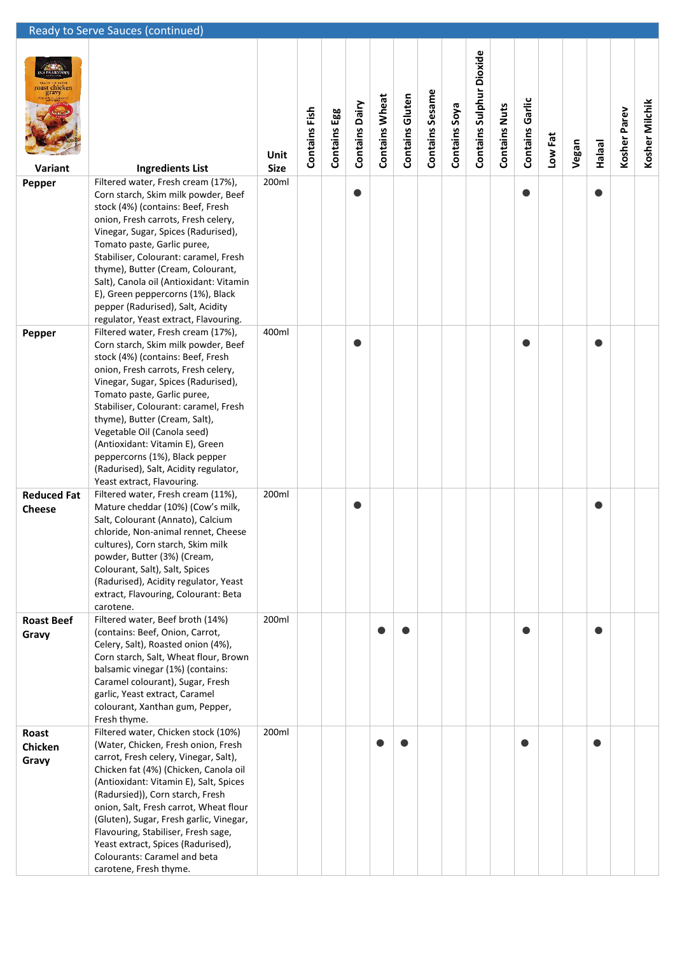|                                     | Ready to Serve Sauces (continued)                                                                                                                                                                                                                                                                                                                                                                                                                                                |                     |               |                 |                |                       |                        |                 |               |                                 |                      |                        |         |       |               |              |                |
|-------------------------------------|----------------------------------------------------------------------------------------------------------------------------------------------------------------------------------------------------------------------------------------------------------------------------------------------------------------------------------------------------------------------------------------------------------------------------------------------------------------------------------|---------------------|---------------|-----------------|----------------|-----------------------|------------------------|-----------------|---------------|---------------------------------|----------------------|------------------------|---------|-------|---------------|--------------|----------------|
| roast chicken<br>Variant            | <b>Ingredients List</b>                                                                                                                                                                                                                                                                                                                                                                                                                                                          | Unit<br><b>Size</b> | Contains Fish | Egg<br>Contains | Contains Dairy | <b>Contains Wheat</b> | <b>Contains Gluten</b> | Contains Sesame | Contains Soya | <b>Contains Sulphur Dioxide</b> | <b>Contains Nuts</b> | <b>Contains Garlic</b> | Low Fat | Vegan | <b>Halaal</b> | Kosher Parev | Kosher Milchik |
| Pepper                              | Filtered water, Fresh cream (17%),<br>Corn starch, Skim milk powder, Beef<br>stock (4%) (contains: Beef, Fresh<br>onion, Fresh carrots, Fresh celery,<br>Vinegar, Sugar, Spices (Radurised),<br>Tomato paste, Garlic puree,<br>Stabiliser, Colourant: caramel, Fresh<br>thyme), Butter (Cream, Colourant,<br>Salt), Canola oil (Antioxidant: Vitamin<br>E), Green peppercorns (1%), Black<br>pepper (Radurised), Salt, Acidity<br>regulator, Yeast extract, Flavouring.          | 200ml               |               |                 | O              |                       |                        |                 |               |                                 |                      | ●                      |         |       |               |              |                |
| Pepper                              | Filtered water, Fresh cream (17%),<br>Corn starch, Skim milk powder, Beef<br>stock (4%) (contains: Beef, Fresh<br>onion, Fresh carrots, Fresh celery,<br>Vinegar, Sugar, Spices (Radurised),<br>Tomato paste, Garlic puree,<br>Stabiliser, Colourant: caramel, Fresh<br>thyme), Butter (Cream, Salt),<br>Vegetable Oil (Canola seed)<br>(Antioxidant: Vitamin E), Green<br>peppercorns (1%), Black pepper<br>(Radurised), Salt, Acidity regulator,<br>Yeast extract, Flavouring. | 400ml               |               |                 | O              |                       |                        |                 |               |                                 |                      |                        |         |       |               |              |                |
| <b>Reduced Fat</b><br><b>Cheese</b> | Filtered water, Fresh cream (11%),<br>Mature cheddar (10%) (Cow's milk,<br>Salt, Colourant (Annato), Calcium<br>chloride, Non-animal rennet, Cheese<br>cultures), Corn starch, Skim milk<br>powder, Butter (3%) (Cream,<br>Colourant, Salt), Salt, Spices<br>(Radurised), Acidity regulator, Yeast<br>extract, Flavouring, Colourant: Beta<br>carotene.                                                                                                                          | 200ml               |               |                 | O              |                       |                        |                 |               |                                 |                      |                        |         |       |               |              |                |
| <b>Roast Beef</b><br>Gravy          | Filtered water, Beef broth (14%)<br>(contains: Beef, Onion, Carrot,<br>Celery, Salt), Roasted onion (4%),<br>Corn starch, Salt, Wheat flour, Brown<br>balsamic vinegar (1%) (contains:<br>Caramel colourant), Sugar, Fresh<br>garlic, Yeast extract, Caramel<br>colourant, Xanthan gum, Pepper,<br>Fresh thyme.                                                                                                                                                                  | 200ml               |               |                 |                |                       |                        |                 |               |                                 |                      |                        |         |       |               |              |                |
| Roast<br>Chicken<br>Gravy           | Filtered water, Chicken stock (10%)<br>(Water, Chicken, Fresh onion, Fresh<br>carrot, Fresh celery, Vinegar, Salt),<br>Chicken fat (4%) (Chicken, Canola oil<br>(Antioxidant: Vitamin E), Salt, Spices<br>(Radursied)), Corn starch, Fresh<br>onion, Salt, Fresh carrot, Wheat flour<br>(Gluten), Sugar, Fresh garlic, Vinegar,<br>Flavouring, Stabiliser, Fresh sage,<br>Yeast extract, Spices (Radurised),<br>Colourants: Caramel and beta<br>carotene, Fresh thyme.           | 200ml               |               |                 |                |                       |                        |                 |               |                                 |                      |                        |         |       | e             |              |                |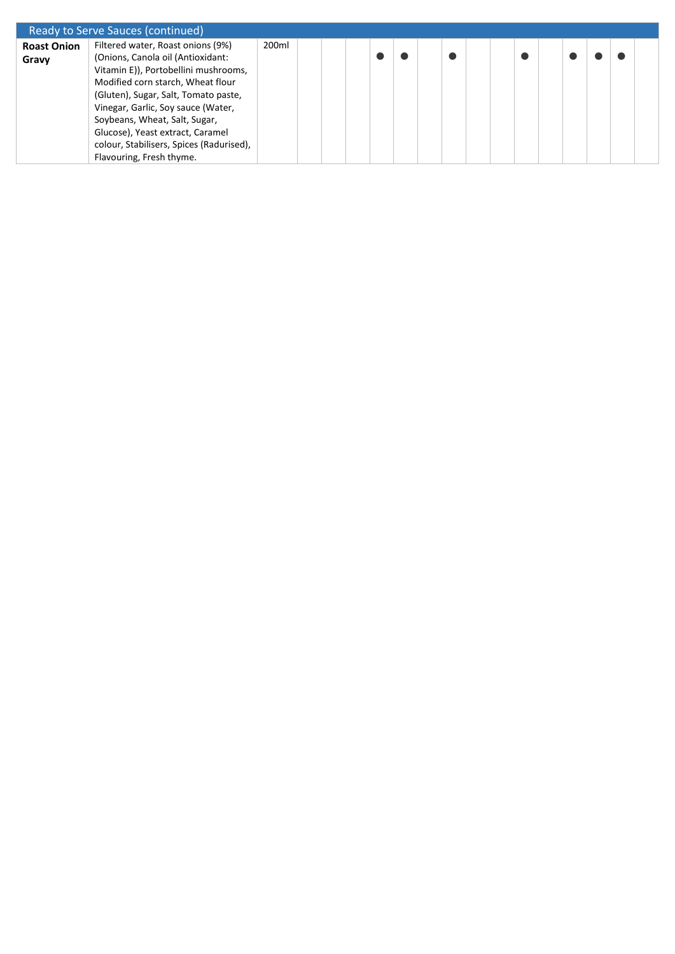|                    | Ready to Serve Sauces (continued)        |       |  |  |  |  |  |  |  |  |
|--------------------|------------------------------------------|-------|--|--|--|--|--|--|--|--|
| <b>Roast Onion</b> | Filtered water, Roast onions (9%)        | 200ml |  |  |  |  |  |  |  |  |
| Gravy              | (Onions, Canola oil (Antioxidant:        |       |  |  |  |  |  |  |  |  |
|                    | Vitamin E)), Portobellini mushrooms,     |       |  |  |  |  |  |  |  |  |
|                    | Modified corn starch, Wheat flour        |       |  |  |  |  |  |  |  |  |
|                    | (Gluten), Sugar, Salt, Tomato paste,     |       |  |  |  |  |  |  |  |  |
|                    | Vinegar, Garlic, Soy sauce (Water,       |       |  |  |  |  |  |  |  |  |
|                    | Soybeans, Wheat, Salt, Sugar,            |       |  |  |  |  |  |  |  |  |
|                    | Glucose), Yeast extract, Caramel         |       |  |  |  |  |  |  |  |  |
|                    | colour, Stabilisers, Spices (Radurised), |       |  |  |  |  |  |  |  |  |
|                    | Flavouring, Fresh thyme.                 |       |  |  |  |  |  |  |  |  |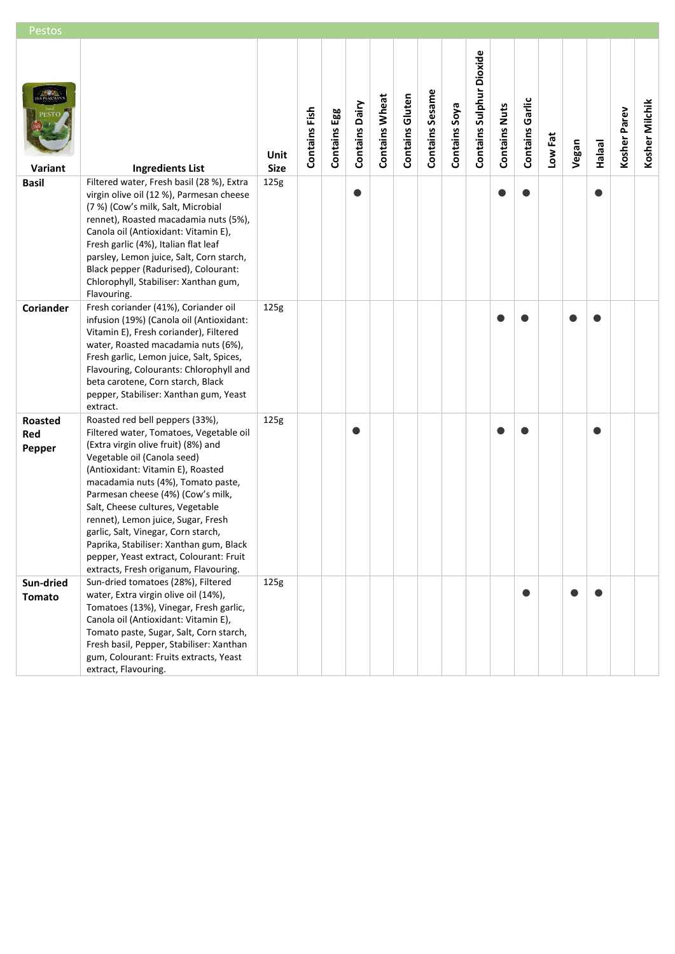| Pestos                          |                                                                                                                                                                                                                                                                                                                                                                                                                                                                                                                  |                     |               |              |                |                       |                        |                 |               |                          |                      |                 |         |       |               |              |                |
|---------------------------------|------------------------------------------------------------------------------------------------------------------------------------------------------------------------------------------------------------------------------------------------------------------------------------------------------------------------------------------------------------------------------------------------------------------------------------------------------------------------------------------------------------------|---------------------|---------------|--------------|----------------|-----------------------|------------------------|-----------------|---------------|--------------------------|----------------------|-----------------|---------|-------|---------------|--------------|----------------|
| Variant                         | <b>Ingredients List</b>                                                                                                                                                                                                                                                                                                                                                                                                                                                                                          | Unit<br><b>Size</b> | Contains Fish | Contains Egg | Contains Dairy | <b>Contains Wheat</b> | <b>Contains Gluten</b> | Contains Sesame | Contains Soya | Contains Sulphur Dioxide | <b>Contains Nuts</b> | Contains Garlic | Low Fat | Vegan | <b>Halaal</b> | Kosher Parev | Kosher Milchik |
| <b>Basil</b>                    | Filtered water, Fresh basil (28 %), Extra<br>virgin olive oil (12 %), Parmesan cheese<br>(7 %) (Cow's milk, Salt, Microbial<br>rennet), Roasted macadamia nuts (5%),<br>Canola oil (Antioxidant: Vitamin E),<br>Fresh garlic (4%), Italian flat leaf<br>parsley, Lemon juice, Salt, Corn starch,<br>Black pepper (Radurised), Colourant:<br>Chlorophyll, Stabiliser: Xanthan gum,<br>Flavouring.                                                                                                                 | 125g                |               |              |                |                       |                        |                 |               |                          |                      |                 |         |       |               |              |                |
| Coriander                       | Fresh coriander (41%), Coriander oil<br>infusion (19%) (Canola oil (Antioxidant:<br>Vitamin E), Fresh coriander), Filtered<br>water, Roasted macadamia nuts (6%),<br>Fresh garlic, Lemon juice, Salt, Spices,<br>Flavouring, Colourants: Chlorophyll and<br>beta carotene, Corn starch, Black<br>pepper, Stabiliser: Xanthan gum, Yeast<br>extract.                                                                                                                                                              | 125g                |               |              |                |                       |                        |                 |               |                          |                      |                 |         |       |               |              |                |
| <b>Roasted</b><br>Red<br>Pepper | Roasted red bell peppers (33%),<br>Filtered water, Tomatoes, Vegetable oil<br>(Extra virgin olive fruit) (8%) and<br>Vegetable oil (Canola seed)<br>(Antioxidant: Vitamin E), Roasted<br>macadamia nuts (4%), Tomato paste,<br>Parmesan cheese (4%) (Cow's milk,<br>Salt, Cheese cultures, Vegetable<br>rennet), Lemon juice, Sugar, Fresh<br>garlic, Salt, Vinegar, Corn starch,<br>Paprika, Stabiliser: Xanthan gum, Black<br>pepper, Yeast extract, Colourant: Fruit<br>extracts, Fresh origanum, Flavouring. | 125g                |               |              |                |                       |                        |                 |               |                          |                      |                 |         |       |               |              |                |
| Sun-dried<br><b>Tomato</b>      | Sun-dried tomatoes (28%), Filtered<br>water, Extra virgin olive oil (14%),<br>Tomatoes (13%), Vinegar, Fresh garlic,<br>Canola oil (Antioxidant: Vitamin E),<br>Tomato paste, Sugar, Salt, Corn starch,<br>Fresh basil, Pepper, Stabiliser: Xanthan<br>gum, Colourant: Fruits extracts, Yeast<br>extract, Flavouring.                                                                                                                                                                                            | 125g                |               |              |                |                       |                        |                 |               |                          |                      | 0               |         |       |               |              |                |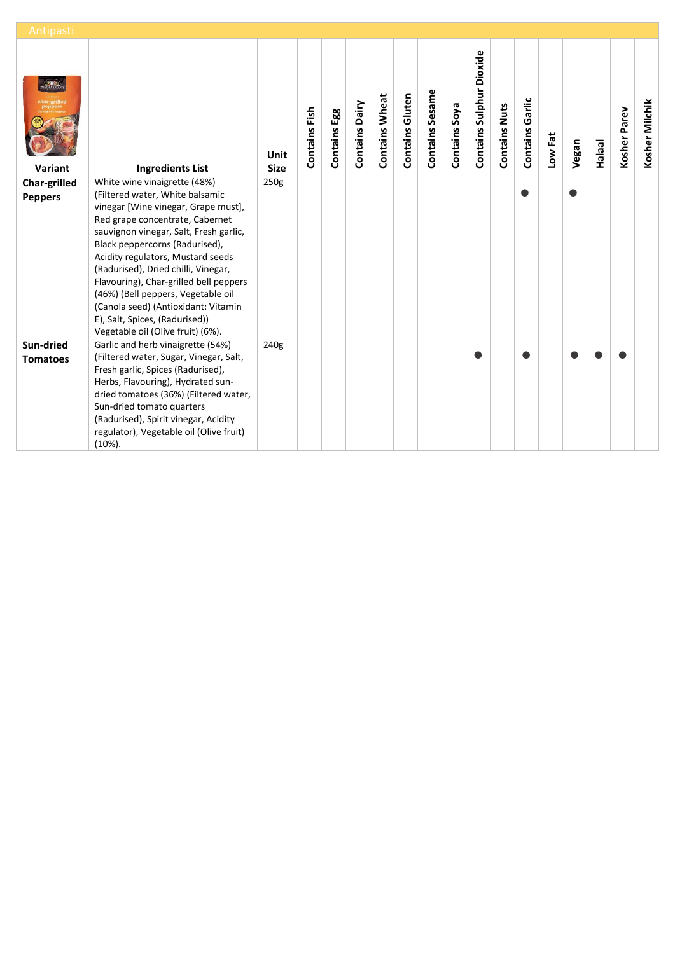| Antipasti       |                                                                                                                                                                                                                                                                                                                                                                                                                                                                 |                     |               |                 |                       |                       |                        |                 |               |                          |                      |                        |         |       |               |              |                |
|-----------------|-----------------------------------------------------------------------------------------------------------------------------------------------------------------------------------------------------------------------------------------------------------------------------------------------------------------------------------------------------------------------------------------------------------------------------------------------------------------|---------------------|---------------|-----------------|-----------------------|-----------------------|------------------------|-----------------|---------------|--------------------------|----------------------|------------------------|---------|-------|---------------|--------------|----------------|
| Variant         | <b>Ingredients List</b>                                                                                                                                                                                                                                                                                                                                                                                                                                         | Unit<br><b>Size</b> | Contains Fish | Egg<br>Contains | <b>Contains Dairy</b> | <b>Contains Wheat</b> | <b>Contains Gluten</b> | Contains Sesame | Contains Soya | Contains Sulphur Dioxide | <b>Contains Nuts</b> | <b>Contains Garlic</b> | Low Fat | Vegan | <b>Halaal</b> | Kosher Parev | Kosher Milchik |
| Char-grilled    | White wine vinaigrette (48%)                                                                                                                                                                                                                                                                                                                                                                                                                                    | 250g                |               |                 |                       |                       |                        |                 |               |                          |                      |                        |         |       |               |              |                |
| <b>Peppers</b>  | (Filtered water, White balsamic<br>vinegar [Wine vinegar, Grape must],<br>Red grape concentrate, Cabernet<br>sauvignon vinegar, Salt, Fresh garlic,<br>Black peppercorns (Radurised),<br>Acidity regulators, Mustard seeds<br>(Radurised), Dried chilli, Vinegar,<br>Flavouring), Char-grilled bell peppers<br>(46%) (Bell peppers, Vegetable oil<br>(Canola seed) (Antioxidant: Vitamin<br>E), Salt, Spices, (Radurised))<br>Vegetable oil (Olive fruit) (6%). |                     |               |                 |                       |                       |                        |                 |               |                          |                      | Ω                      |         |       |               |              |                |
| Sun-dried       | Garlic and herb vinaigrette (54%)                                                                                                                                                                                                                                                                                                                                                                                                                               | 240g                |               |                 |                       |                       |                        |                 |               |                          |                      |                        |         |       |               |              |                |
| <b>Tomatoes</b> | (Filtered water, Sugar, Vinegar, Salt,<br>Fresh garlic, Spices (Radurised),<br>Herbs, Flavouring), Hydrated sun-<br>dried tomatoes (36%) (Filtered water,<br>Sun-dried tomato quarters<br>(Radurised), Spirit vinegar, Acidity<br>regulator), Vegetable oil (Olive fruit)<br>$(10\%).$                                                                                                                                                                          |                     |               |                 |                       |                       |                        |                 |               |                          |                      |                        |         |       |               |              |                |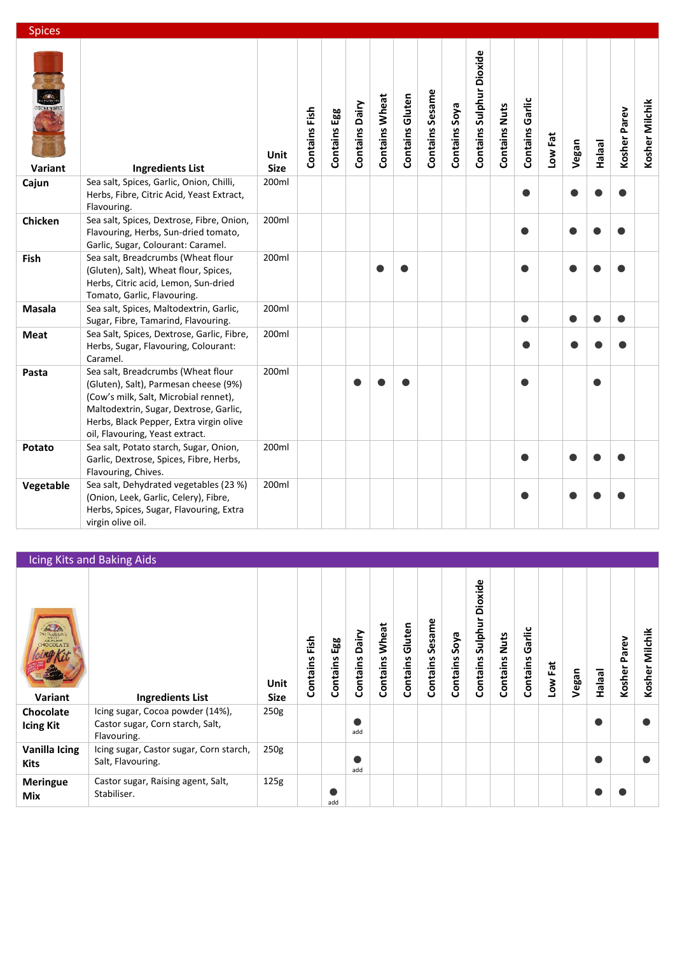| <b>Spices</b>                |                                                                                                                                                                                                                                              |                            |               |              |                       |                       |                        |                 |               |                          |                      |                 |         |       |               |              |                |
|------------------------------|----------------------------------------------------------------------------------------------------------------------------------------------------------------------------------------------------------------------------------------------|----------------------------|---------------|--------------|-----------------------|-----------------------|------------------------|-----------------|---------------|--------------------------|----------------------|-----------------|---------|-------|---------------|--------------|----------------|
| <b>CHCKEN SPI</b><br>Variant | <b>Ingredients List</b>                                                                                                                                                                                                                      | <b>Unit</b><br><b>Size</b> | Contains Fish | Contains Egg | <b>Contains Dairy</b> | <b>Contains Wheat</b> | <b>Contains Gluten</b> | Contains Sesame | Contains Soya | Contains Sulphur Dioxide | <b>Contains Nuts</b> | Contains Garlic | Low Fat | Vegan | <b>Halaal</b> | Kosher Parev | Kosher Milchik |
| Cajun                        | Sea salt, Spices, Garlic, Onion, Chilli,<br>Herbs, Fibre, Citric Acid, Yeast Extract,<br>Flavouring.                                                                                                                                         | 200ml                      |               |              |                       |                       |                        |                 |               |                          |                      | ●               |         |       |               |              |                |
| Chicken                      | Sea salt, Spices, Dextrose, Fibre, Onion,<br>Flavouring, Herbs, Sun-dried tomato,<br>Garlic, Sugar, Colourant: Caramel.                                                                                                                      | 200ml                      |               |              |                       |                       |                        |                 |               |                          |                      | $\bullet$       |         |       |               |              |                |
| Fish                         | Sea salt, Breadcrumbs (Wheat flour<br>(Gluten), Salt), Wheat flour, Spices,<br>Herbs, Citric acid, Lemon, Sun-dried<br>Tomato, Garlic, Flavouring.                                                                                           | 200ml                      |               |              |                       |                       |                        |                 |               |                          |                      |                 |         |       |               |              |                |
| Masala                       | Sea salt, Spices, Maltodextrin, Garlic,<br>Sugar, Fibre, Tamarind, Flavouring.                                                                                                                                                               | 200ml                      |               |              |                       |                       |                        |                 |               |                          |                      | $\bullet$       |         |       |               |              |                |
| <b>Meat</b>                  | Sea Salt, Spices, Dextrose, Garlic, Fibre,<br>Herbs, Sugar, Flavouring, Colourant:<br>Caramel.                                                                                                                                               | 200ml                      |               |              |                       |                       |                        |                 |               |                          |                      | $\bullet$       |         |       |               |              |                |
| Pasta                        | Sea salt, Breadcrumbs (Wheat flour<br>(Gluten), Salt), Parmesan cheese (9%)<br>(Cow's milk, Salt, Microbial rennet),<br>Maltodextrin, Sugar, Dextrose, Garlic,<br>Herbs, Black Pepper, Extra virgin olive<br>oil, Flavouring, Yeast extract. | 200ml                      |               |              |                       |                       |                        |                 |               |                          |                      |                 |         |       |               |              |                |
| Potato                       | Sea salt, Potato starch, Sugar, Onion,<br>Garlic, Dextrose, Spices, Fibre, Herbs,<br>Flavouring, Chives.                                                                                                                                     | 200ml                      |               |              |                       |                       |                        |                 |               |                          |                      | ●               |         |       |               |              |                |
| Vegetable                    | Sea salt, Dehydrated vegetables (23 %)<br>(Onion, Leek, Garlic, Celery), Fibre,<br>Herbs, Spices, Sugar, Flavouring, Extra<br>virgin olive oil.                                                                                              | 200ml                      |               |              |                       |                       |                        |                 |               |                          |                      |                 |         |       |               |              |                |

|                                                                                   | Icing Kits and Baking Aids                                                          |                     |                  |                        |                   |                   |                    |                    |                  |                                |                         |                    |         |       |               |                 |                   |
|-----------------------------------------------------------------------------------|-------------------------------------------------------------------------------------|---------------------|------------------|------------------------|-------------------|-------------------|--------------------|--------------------|------------------|--------------------------------|-------------------------|--------------------|---------|-------|---------------|-----------------|-------------------|
| $\mathbb{Z}$<br><b>VA PAARMAN</b><br>KIRDIDA<br>ALL-IN-ONE<br>HOCOLATE<br>Variant | <b>Ingredients List</b>                                                             | Unit<br><b>Size</b> | Fish<br>Contains | <b>585</b><br>Contains | Dairy<br>Contains | Wheat<br>Contains | Gluten<br>Contains | Sesame<br>Contains | Soya<br>Contains | Dioxide<br>Sulphur<br>Contains | <b>Nuts</b><br>Contains | Garlic<br>Contains | Low Fat | Vegan | <b>Halaal</b> | Parev<br>Kosher | Milchik<br>Kosher |
| Chocolate<br><b>Icing Kit</b>                                                     | Icing sugar, Cocoa powder (14%),<br>Castor sugar, Corn starch, Salt,<br>Flavouring. | 250g                |                  |                        | add               |                   |                    |                    |                  |                                |                         |                    |         |       |               |                 |                   |
| Vanilla Icing<br><b>Kits</b>                                                      | Icing sugar, Castor sugar, Corn starch,<br>Salt, Flavouring.                        | 250g                |                  |                        | add               |                   |                    |                    |                  |                                |                         |                    |         |       |               |                 |                   |
| <b>Meringue</b><br><b>Mix</b>                                                     | Castor sugar, Raising agent, Salt,<br>Stabiliser.                                   | 125g                |                  | add                    |                   |                   |                    |                    |                  |                                |                         |                    |         |       |               |                 |                   |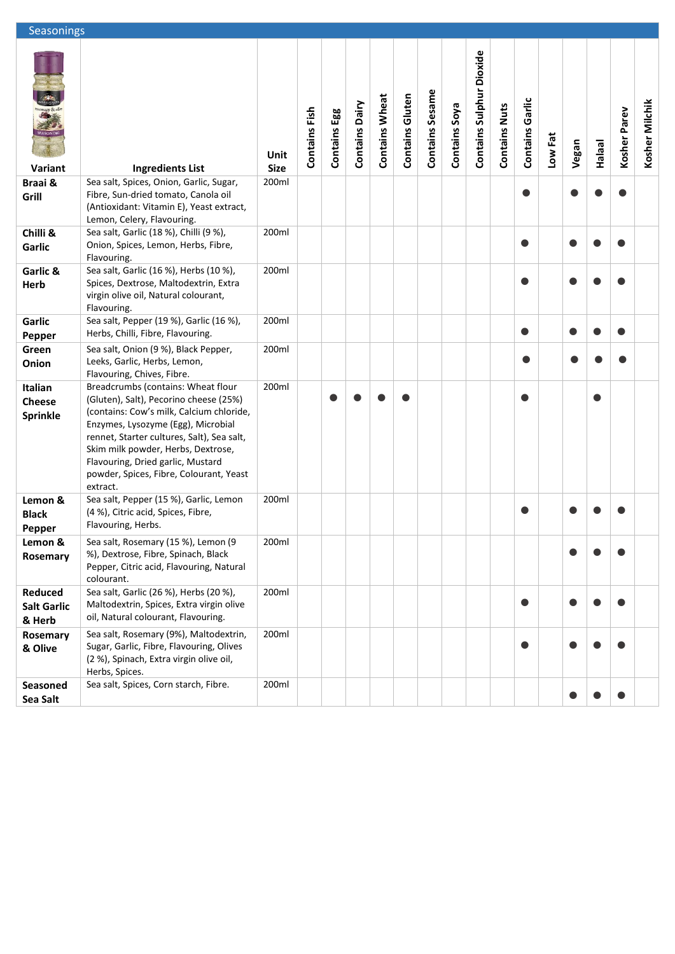| Seasonings                                  |                                                                                                                                                                                                                                                                                                                                                |                     |               |              |                       |                       |                        |                 |               |                          |                      |                        |         |       |               |              |                |
|---------------------------------------------|------------------------------------------------------------------------------------------------------------------------------------------------------------------------------------------------------------------------------------------------------------------------------------------------------------------------------------------------|---------------------|---------------|--------------|-----------------------|-----------------------|------------------------|-----------------|---------------|--------------------------|----------------------|------------------------|---------|-------|---------------|--------------|----------------|
| <b>Schary &amp;</b><br>Variant              | <b>Ingredients List</b>                                                                                                                                                                                                                                                                                                                        | Unit<br><b>Size</b> | Contains Fish | Contains Egg | <b>Contains Dairy</b> | <b>Contains Wheat</b> | <b>Contains Gluten</b> | Contains Sesame | Contains Soya | Contains Sulphur Dioxide | <b>Contains Nuts</b> | <b>Contains Garlic</b> | Low Fat | Vegan | <b>Halaal</b> | Kosher Parev | Kosher Milchik |
| Braai &                                     | Sea salt, Spices, Onion, Garlic, Sugar,                                                                                                                                                                                                                                                                                                        | 200ml               |               |              |                       |                       |                        |                 |               |                          |                      |                        |         |       |               |              |                |
| Grill                                       | Fibre, Sun-dried tomato, Canola oil<br>(Antioxidant: Vitamin E), Yeast extract,<br>Lemon, Celery, Flavouring.                                                                                                                                                                                                                                  |                     |               |              |                       |                       |                        |                 |               |                          |                      |                        |         |       |               |              |                |
| Chilli &                                    | Sea salt, Garlic (18 %), Chilli (9 %),                                                                                                                                                                                                                                                                                                         | 200ml               |               |              |                       |                       |                        |                 |               |                          |                      |                        |         |       |               |              |                |
| Garlic                                      | Onion, Spices, Lemon, Herbs, Fibre,<br>Flavouring.                                                                                                                                                                                                                                                                                             |                     |               |              |                       |                       |                        |                 |               |                          |                      |                        |         |       |               |              |                |
| Garlic &<br>Herb                            | Sea salt, Garlic (16 %), Herbs (10 %),<br>Spices, Dextrose, Maltodextrin, Extra<br>virgin olive oil, Natural colourant,<br>Flavouring.                                                                                                                                                                                                         | 200ml               |               |              |                       |                       |                        |                 |               |                          |                      |                        |         |       |               |              |                |
| Garlic<br><b>Pepper</b>                     | Sea salt, Pepper (19 %), Garlic (16 %),<br>Herbs, Chilli, Fibre, Flavouring.                                                                                                                                                                                                                                                                   | 200ml               |               |              |                       |                       |                        |                 |               |                          |                      | 0                      |         |       |               |              |                |
| Green<br>Onion                              | Sea salt, Onion (9 %), Black Pepper,<br>Leeks, Garlic, Herbs, Lemon,<br>Flavouring, Chives, Fibre.                                                                                                                                                                                                                                             | 200ml               |               |              |                       |                       |                        |                 |               |                          |                      |                        |         |       |               |              |                |
| Italian<br><b>Cheese</b><br><b>Sprinkle</b> | Breadcrumbs (contains: Wheat flour<br>(Gluten), Salt), Pecorino cheese (25%)<br>(contains: Cow's milk, Calcium chloride,<br>Enzymes, Lysozyme (Egg), Microbial<br>rennet, Starter cultures, Salt), Sea salt,<br>Skim milk powder, Herbs, Dextrose,<br>Flavouring, Dried garlic, Mustard<br>powder, Spices, Fibre, Colourant, Yeast<br>extract. | 200ml               |               |              |                       |                       |                        |                 |               |                          |                      |                        |         |       |               |              |                |
| Lemon &<br><b>Black</b><br>Pepper           | Sea salt, Pepper (15 %), Garlic, Lemon<br>(4 %), Citric acid, Spices, Fibre,<br>Flavouring, Herbs.                                                                                                                                                                                                                                             | 200ml               |               |              |                       |                       |                        |                 |               |                          |                      |                        |         |       |               |              |                |
| Lemon &<br>Rosemary                         | Sea salt, Rosemary (15 %), Lemon (9<br>%), Dextrose, Fibre, Spinach, Black<br>Pepper, Citric acid, Flavouring, Natural<br>colourant.                                                                                                                                                                                                           | 200ml               |               |              |                       |                       |                        |                 |               |                          |                      |                        |         |       |               |              |                |
| Reduced<br><b>Salt Garlic</b><br>& Herb     | Sea salt, Garlic (26 %), Herbs (20 %),<br>Maltodextrin, Spices, Extra virgin olive<br>oil, Natural colourant, Flavouring.                                                                                                                                                                                                                      | 200ml               |               |              |                       |                       |                        |                 |               |                          |                      |                        |         |       |               |              |                |
| Rosemary<br>& Olive                         | Sea salt, Rosemary (9%), Maltodextrin,<br>Sugar, Garlic, Fibre, Flavouring, Olives<br>(2 %), Spinach, Extra virgin olive oil,<br>Herbs, Spices.                                                                                                                                                                                                | 200ml               |               |              |                       |                       |                        |                 |               |                          |                      |                        |         |       |               |              |                |
| Seasoned<br>Sea Salt                        | Sea salt, Spices, Corn starch, Fibre.                                                                                                                                                                                                                                                                                                          | 200ml               |               |              |                       |                       |                        |                 |               |                          |                      |                        |         |       |               | $\bullet$    |                |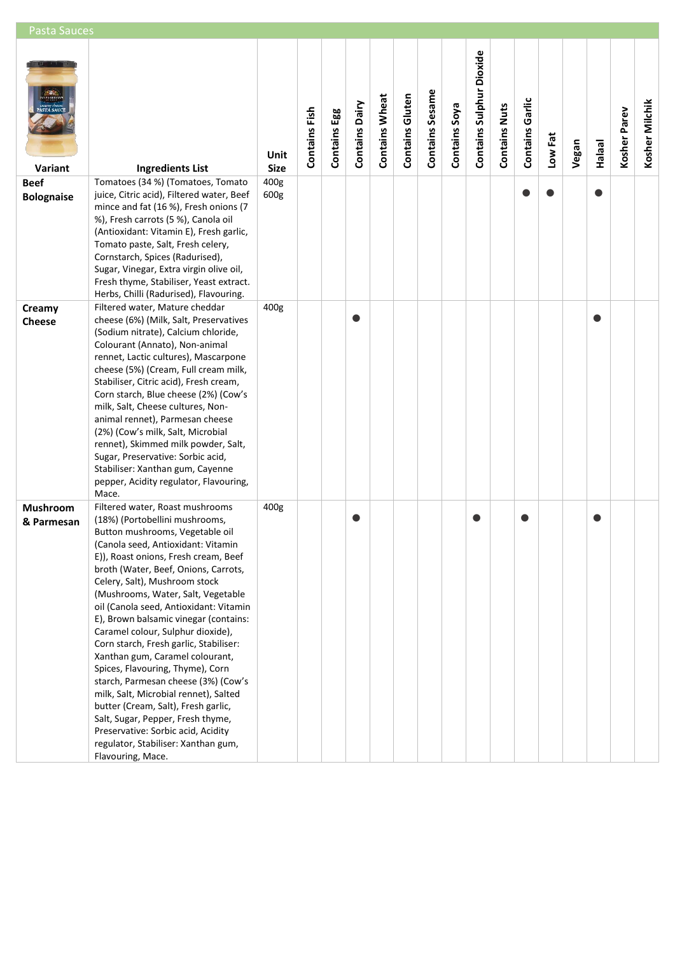| <b>Pasta Sauces</b>              |                                                                                                                                                                                                                                                                                                                                                                                                                                                                                                                                                                                                                                                                                                                                                                                                          |                     |               |                 |                |                       |                        |                 |               |                          |                      |                        |         |       |        |              |                |
|----------------------------------|----------------------------------------------------------------------------------------------------------------------------------------------------------------------------------------------------------------------------------------------------------------------------------------------------------------------------------------------------------------------------------------------------------------------------------------------------------------------------------------------------------------------------------------------------------------------------------------------------------------------------------------------------------------------------------------------------------------------------------------------------------------------------------------------------------|---------------------|---------------|-----------------|----------------|-----------------------|------------------------|-----------------|---------------|--------------------------|----------------------|------------------------|---------|-------|--------|--------------|----------------|
| ASTÁ SAUC<br>Variant             | <b>Ingredients List</b>                                                                                                                                                                                                                                                                                                                                                                                                                                                                                                                                                                                                                                                                                                                                                                                  | Unit<br><b>Size</b> | Contains Fish | Egg<br>Contains | Contains Dairy | <b>Contains Wheat</b> | <b>Contains Gluten</b> | Contains Sesame | Contains Soya | Contains Sulphur Dioxide | <b>Contains Nuts</b> | <b>Contains Garlic</b> | Low Fat | Vegan | Halaal | Kosher Parev | Kosher Milchik |
| <b>Beef</b><br><b>Bolognaise</b> | Tomatoes (34 %) (Tomatoes, Tomato<br>juice, Citric acid), Filtered water, Beef<br>mince and fat (16 %), Fresh onions (7<br>%), Fresh carrots (5 %), Canola oil<br>(Antioxidant: Vitamin E), Fresh garlic,<br>Tomato paste, Salt, Fresh celery,<br>Cornstarch, Spices (Radurised),<br>Sugar, Vinegar, Extra virgin olive oil,<br>Fresh thyme, Stabiliser, Yeast extract.<br>Herbs, Chilli (Radurised), Flavouring.                                                                                                                                                                                                                                                                                                                                                                                        | 400g<br>600g        |               |                 |                |                       |                        |                 |               |                          |                      |                        |         |       |        |              |                |
| Creamy<br><b>Cheese</b>          | Filtered water, Mature cheddar<br>cheese (6%) (Milk, Salt, Preservatives<br>(Sodium nitrate), Calcium chloride,<br>Colourant (Annato), Non-animal<br>rennet, Lactic cultures), Mascarpone<br>cheese (5%) (Cream, Full cream milk,<br>Stabiliser, Citric acid), Fresh cream,<br>Corn starch, Blue cheese (2%) (Cow's<br>milk, Salt, Cheese cultures, Non-<br>animal rennet), Parmesan cheese<br>(2%) (Cow's milk, Salt, Microbial<br>rennet), Skimmed milk powder, Salt,<br>Sugar, Preservative: Sorbic acid,<br>Stabiliser: Xanthan gum, Cayenne<br>pepper, Acidity regulator, Flavouring,<br>Mace.                                                                                                                                                                                                      | 400g                |               |                 |                |                       |                        |                 |               |                          |                      |                        |         |       |        |              |                |
| Mushroom<br>& Parmesan           | Filtered water, Roast mushrooms<br>(18%) (Portobellini mushrooms,<br>Button mushrooms, Vegetable oil<br>(Canola seed, Antioxidant: Vitamin<br>E)), Roast onions, Fresh cream, Beef<br>broth (Water, Beef, Onions, Carrots,<br>Celery, Salt), Mushroom stock<br>(Mushrooms, Water, Salt, Vegetable<br>oil (Canola seed, Antioxidant: Vitamin<br>E), Brown balsamic vinegar (contains:<br>Caramel colour, Sulphur dioxide),<br>Corn starch, Fresh garlic, Stabiliser:<br>Xanthan gum, Caramel colourant,<br>Spices, Flavouring, Thyme), Corn<br>starch, Parmesan cheese (3%) (Cow's<br>milk, Salt, Microbial rennet), Salted<br>butter (Cream, Salt), Fresh garlic,<br>Salt, Sugar, Pepper, Fresh thyme,<br>Preservative: Sorbic acid, Acidity<br>regulator, Stabiliser: Xanthan gum,<br>Flavouring, Mace. | 400g                |               |                 | O              |                       |                        |                 |               |                          |                      |                        |         |       | 0      |              |                |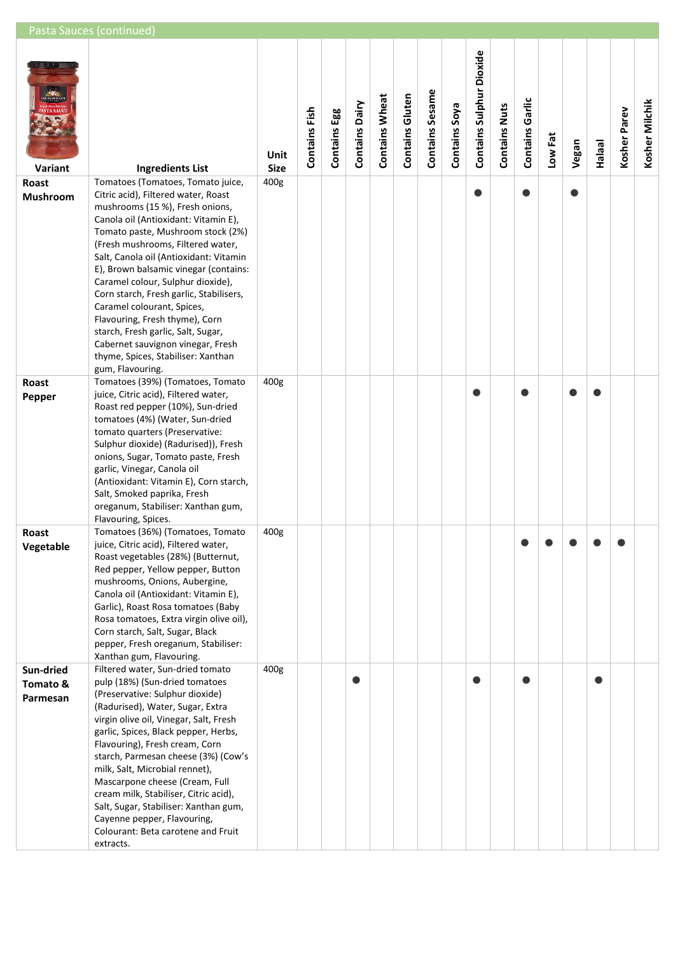| Pasta Sauces (continued)                                                                                                                                                                                                                                                                                                                                                                                                                                                                                                  |                                                                                                                                                                                                                                                                                                                     |                              |                 |                       |                       |                        |                 |               |                          |                      |                        |           |       |               |              |                |
|---------------------------------------------------------------------------------------------------------------------------------------------------------------------------------------------------------------------------------------------------------------------------------------------------------------------------------------------------------------------------------------------------------------------------------------------------------------------------------------------------------------------------|---------------------------------------------------------------------------------------------------------------------------------------------------------------------------------------------------------------------------------------------------------------------------------------------------------------------|------------------------------|-----------------|-----------------------|-----------------------|------------------------|-----------------|---------------|--------------------------|----------------------|------------------------|-----------|-------|---------------|--------------|----------------|
| <b>Ingredients List</b>                                                                                                                                                                                                                                                                                                                                                                                                                                                                                                   | Unit<br><b>Size</b>                                                                                                                                                                                                                                                                                                 | Contains Fish                | Egg<br>Contains | <b>Contains Dairy</b> | <b>Contains Wheat</b> | <b>Contains Gluten</b> | Contains Sesame | Contains Soya | Contains Sulphur Dioxide | <b>Contains Nuts</b> | <b>Contains Garlic</b> | Low Fat   | Vegan | <b>Halaal</b> | Kosher Parev | Kosher Milchik |
|                                                                                                                                                                                                                                                                                                                                                                                                                                                                                                                           |                                                                                                                                                                                                                                                                                                                     |                              |                 |                       |                       |                        |                 |               |                          |                      |                        |           |       |               |              |                |
| mushrooms (15 %), Fresh onions,<br>Canola oil (Antioxidant: Vitamin E),<br>Tomato paste, Mushroom stock (2%)<br>(Fresh mushrooms, Filtered water,<br>Salt, Canola oil (Antioxidant: Vitamin<br>E), Brown balsamic vinegar (contains:<br>Caramel colour, Sulphur dioxide),<br>Corn starch, Fresh garlic, Stabilisers,<br>Caramel colourant, Spices,<br>Flavouring, Fresh thyme), Corn<br>starch, Fresh garlic, Salt, Sugar,<br>Cabernet sauvignon vinegar, Fresh<br>thyme, Spices, Stabiliser: Xanthan<br>gum, Flavouring. |                                                                                                                                                                                                                                                                                                                     |                              |                 |                       |                       |                        |                 |               |                          |                      |                        |           |       |               |              |                |
|                                                                                                                                                                                                                                                                                                                                                                                                                                                                                                                           |                                                                                                                                                                                                                                                                                                                     |                              |                 |                       |                       |                        |                 |               |                          |                      |                        |           |       |               |              |                |
| Roast red pepper (10%), Sun-dried<br>tomatoes (4%) (Water, Sun-dried<br>tomato quarters (Preservative:<br>Sulphur dioxide) (Radurised)), Fresh<br>onions, Sugar, Tomato paste, Fresh<br>garlic, Vinegar, Canola oil<br>(Antioxidant: Vitamin E), Corn starch,<br>Salt, Smoked paprika, Fresh<br>oreganum, Stabiliser: Xanthan gum,<br>Flavouring, Spices.                                                                                                                                                                 |                                                                                                                                                                                                                                                                                                                     |                              |                 |                       |                       |                        |                 |               |                          |                      |                        |           |       |               |              |                |
|                                                                                                                                                                                                                                                                                                                                                                                                                                                                                                                           |                                                                                                                                                                                                                                                                                                                     |                              |                 |                       |                       |                        |                 |               |                          |                      |                        |           |       |               |              |                |
| Roast vegetables (28%) (Butternut,<br>Red pepper, Yellow pepper, Button<br>mushrooms, Onions, Aubergine,<br>Canola oil (Antioxidant: Vitamin E),<br>Garlic), Roast Rosa tomatoes (Baby<br>Rosa tomatoes, Extra virgin olive oil),<br>Corn starch, Salt, Sugar, Black<br>pepper, Fresh oreganum, Stabiliser:<br>Xanthan gum, Flavouring.                                                                                                                                                                                   |                                                                                                                                                                                                                                                                                                                     |                              |                 |                       |                       |                        |                 |               |                          |                      |                        |           |       |               |              |                |
|                                                                                                                                                                                                                                                                                                                                                                                                                                                                                                                           |                                                                                                                                                                                                                                                                                                                     |                              |                 |                       |                       |                        |                 |               |                          |                      |                        |           |       |               |              |                |
| (Preservative: Sulphur dioxide)<br>(Radurised), Water, Sugar, Extra<br>virgin olive oil, Vinegar, Salt, Fresh<br>garlic, Spices, Black pepper, Herbs,<br>Flavouring), Fresh cream, Corn<br>starch, Parmesan cheese (3%) (Cow's<br>milk, Salt, Microbial rennet),<br>Mascarpone cheese (Cream, Full<br>cream milk, Stabiliser, Citric acid),<br>Salt, Sugar, Stabiliser: Xanthan gum,<br>Cayenne pepper, Flavouring,<br>Colourant: Beta carotene and Fruit                                                                 |                                                                                                                                                                                                                                                                                                                     |                              |                 |                       |                       |                        |                 |               |                          |                      |                        |           |       |               |              |                |
|                                                                                                                                                                                                                                                                                                                                                                                                                                                                                                                           | Tomatoes (Tomatoes, Tomato juice,<br>Citric acid), Filtered water, Roast<br>Tomatoes (39%) (Tomatoes, Tomato<br>juice, Citric acid), Filtered water,<br>Tomatoes (36%) (Tomatoes, Tomato<br>juice, Citric acid), Filtered water,<br>Filtered water, Sun-dried tomato<br>pulp (18%) (Sun-dried tomatoes<br>extracts. | 400g<br>400g<br>400g<br>400g |                 |                       |                       |                        |                 |               |                          | O                    |                        | $\bullet$ |       | ●             |              |                |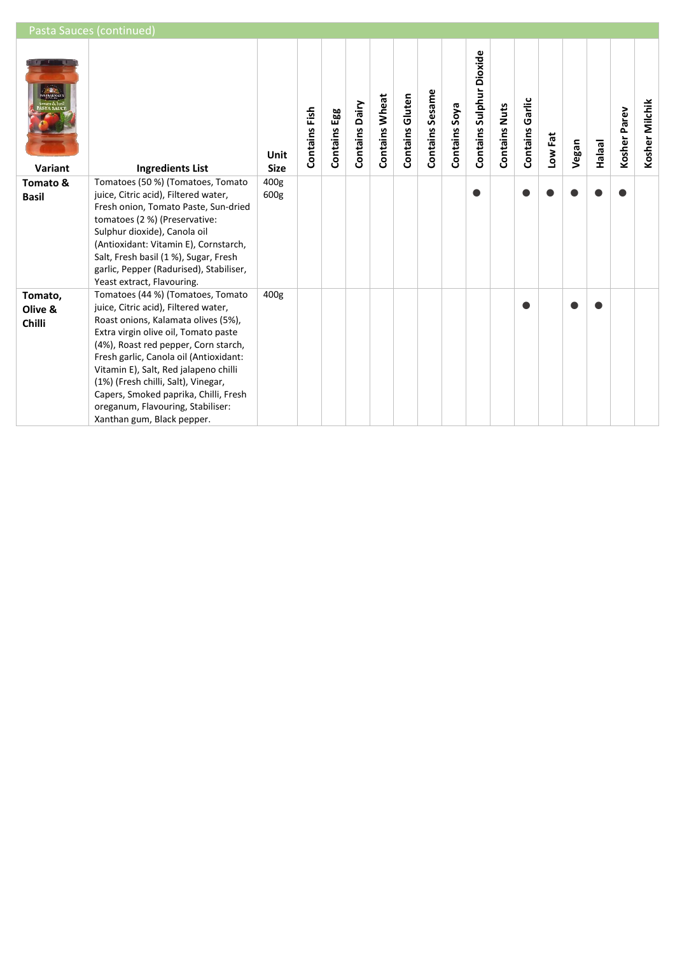|                              | Pasta Sauces (continued)                                                                                                                                                                                                                                                                                                                                                                                                               |                     |               |                 |                |                       |                        |                 |               |                                 |                  |                    |         |       |               |                 |                |
|------------------------------|----------------------------------------------------------------------------------------------------------------------------------------------------------------------------------------------------------------------------------------------------------------------------------------------------------------------------------------------------------------------------------------------------------------------------------------|---------------------|---------------|-----------------|----------------|-----------------------|------------------------|-----------------|---------------|---------------------------------|------------------|--------------------|---------|-------|---------------|-----------------|----------------|
| Variant                      | <b>Ingredients List</b>                                                                                                                                                                                                                                                                                                                                                                                                                | Unit<br><b>Size</b> | Contains Fish | Egg<br>Contains | Contains Dairy | <b>Contains Wheat</b> | <b>Contains Gluten</b> | Contains Sesame | Contains Soya | <b>Contains Sulphur Dioxide</b> | Nuts<br>Contains | Garlic<br>Contains | Low Fat | Vegan | <b>Halaal</b> | Parev<br>Kosher | Kosher Milchik |
| Tomato &<br><b>Basil</b>     | Tomatoes (50 %) (Tomatoes, Tomato<br>juice, Citric acid), Filtered water,<br>Fresh onion, Tomato Paste, Sun-dried<br>tomatoes (2 %) (Preservative:<br>Sulphur dioxide), Canola oil<br>(Antioxidant: Vitamin E), Cornstarch,<br>Salt, Fresh basil (1 %), Sugar, Fresh<br>garlic, Pepper (Radurised), Stabiliser,<br>Yeast extract, Flavouring.                                                                                          | 400g<br>600g        |               |                 |                |                       |                        |                 |               | ●                               |                  |                    |         |       |               |                 |                |
| Tomato,<br>Olive &<br>Chilli | Tomatoes (44 %) (Tomatoes, Tomato<br>juice, Citric acid), Filtered water,<br>Roast onions, Kalamata olives (5%),<br>Extra virgin olive oil, Tomato paste<br>(4%), Roast red pepper, Corn starch,<br>Fresh garlic, Canola oil (Antioxidant:<br>Vitamin E), Salt, Red jalapeno chilli<br>(1%) (Fresh chilli, Salt), Vinegar,<br>Capers, Smoked paprika, Chilli, Fresh<br>oreganum, Flavouring, Stabiliser:<br>Xanthan gum, Black pepper. | 400g                |               |                 |                |                       |                        |                 |               |                                 |                  |                    |         |       |               |                 |                |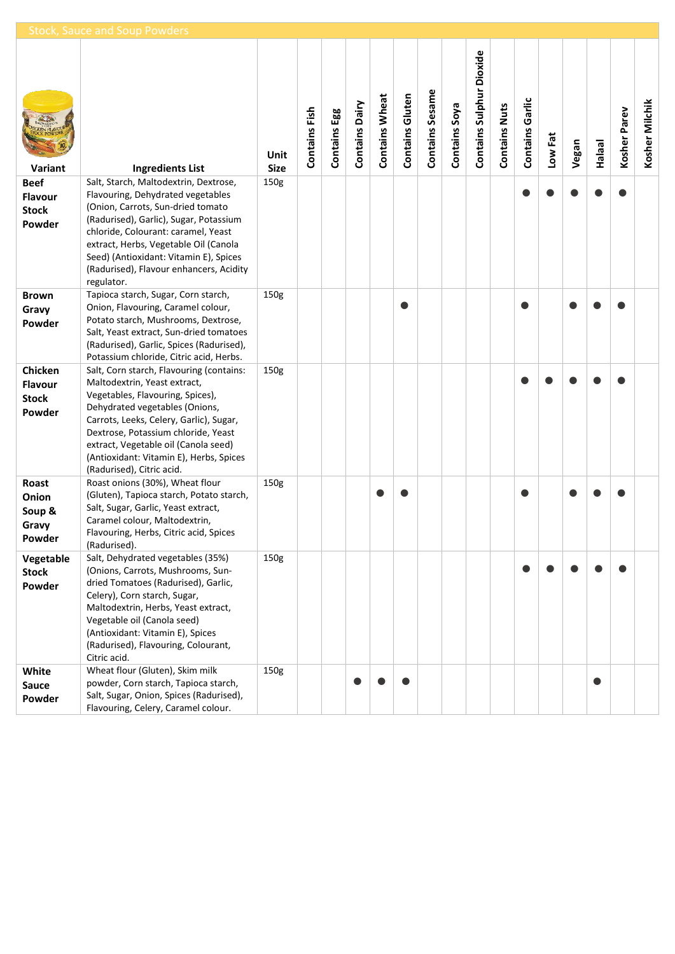|                | <b>Stock, Sauce and Soup Powders</b>                                                                                                                                                                                             |                     |               |              |                |                       |                        |                 |               |                          |                      |                 |         |       |               |              |                |
|----------------|----------------------------------------------------------------------------------------------------------------------------------------------------------------------------------------------------------------------------------|---------------------|---------------|--------------|----------------|-----------------------|------------------------|-----------------|---------------|--------------------------|----------------------|-----------------|---------|-------|---------------|--------------|----------------|
| Variant        | <b>Ingredients List</b>                                                                                                                                                                                                          | Unit<br><b>Size</b> | Contains Fish | Contains Egg | Contains Dairy | <b>Contains Wheat</b> | <b>Contains Gluten</b> | Contains Sesame | Contains Soya | Contains Sulphur Dioxide | <b>Contains Nuts</b> | Contains Garlic | Low Fat | Vegan | <b>Halaal</b> | Kosher Parev | Kosher Milchik |
| <b>Beef</b>    | Salt, Starch, Maltodextrin, Dextrose,                                                                                                                                                                                            | 150g                |               |              |                |                       |                        |                 |               |                          |                      |                 |         |       |               |              |                |
| <b>Flavour</b> | Flavouring, Dehydrated vegetables                                                                                                                                                                                                |                     |               |              |                |                       |                        |                 |               |                          |                      |                 |         |       |               |              |                |
| <b>Stock</b>   | (Onion, Carrots, Sun-dried tomato                                                                                                                                                                                                |                     |               |              |                |                       |                        |                 |               |                          |                      |                 |         |       |               |              |                |
| Powder         | (Radurised), Garlic), Sugar, Potassium<br>chloride, Colourant: caramel, Yeast<br>extract, Herbs, Vegetable Oil (Canola<br>Seed) (Antioxidant: Vitamin E), Spices<br>(Radurised), Flavour enhancers, Acidity<br>regulator.        |                     |               |              |                |                       |                        |                 |               |                          |                      |                 |         |       |               |              |                |
| <b>Brown</b>   | Tapioca starch, Sugar, Corn starch,                                                                                                                                                                                              | 150g                |               |              |                |                       |                        |                 |               |                          |                      |                 |         |       |               |              |                |
| Gravy          | Onion, Flavouring, Caramel colour,                                                                                                                                                                                               |                     |               |              |                |                       |                        |                 |               |                          |                      |                 |         |       |               |              |                |
| Powder         | Potato starch, Mushrooms, Dextrose,<br>Salt, Yeast extract, Sun-dried tomatoes<br>(Radurised), Garlic, Spices (Radurised),<br>Potassium chloride, Citric acid, Herbs.                                                            |                     |               |              |                |                       |                        |                 |               |                          |                      |                 |         |       |               |              |                |
| Chicken        | Salt, Corn starch, Flavouring (contains:                                                                                                                                                                                         | 150g                |               |              |                |                       |                        |                 |               |                          |                      |                 |         |       |               |              |                |
| <b>Flavour</b> | Maltodextrin, Yeast extract,                                                                                                                                                                                                     |                     |               |              |                |                       |                        |                 |               |                          |                      |                 |         |       |               |              |                |
| <b>Stock</b>   | Vegetables, Flavouring, Spices),                                                                                                                                                                                                 |                     |               |              |                |                       |                        |                 |               |                          |                      |                 |         |       |               |              |                |
| Powder         | Dehydrated vegetables (Onions,<br>Carrots, Leeks, Celery, Garlic), Sugar,<br>Dextrose, Potassium chloride, Yeast<br>extract, Vegetable oil (Canola seed)<br>(Antioxidant: Vitamin E), Herbs, Spices<br>(Radurised), Citric acid. |                     |               |              |                |                       |                        |                 |               |                          |                      |                 |         |       |               |              |                |
| Roast          | Roast onions (30%), Wheat flour                                                                                                                                                                                                  | 150g                |               |              |                |                       |                        |                 |               |                          |                      |                 |         |       |               |              |                |
| Onion          | (Gluten), Tapioca starch, Potato starch,                                                                                                                                                                                         |                     |               |              |                |                       |                        |                 |               |                          |                      |                 |         |       |               |              |                |
| Soup &         | Salt, Sugar, Garlic, Yeast extract,                                                                                                                                                                                              |                     |               |              |                |                       |                        |                 |               |                          |                      |                 |         |       |               |              |                |
| Gravy          | Caramel colour, Maltodextrin,                                                                                                                                                                                                    |                     |               |              |                |                       |                        |                 |               |                          |                      |                 |         |       |               |              |                |
| Powder         | Flavouring, Herbs, Citric acid, Spices<br>(Radurised).                                                                                                                                                                           |                     |               |              |                |                       |                        |                 |               |                          |                      |                 |         |       |               |              |                |
| Vegetable      | Salt, Dehydrated vegetables (35%)                                                                                                                                                                                                | 150g                |               |              |                |                       |                        |                 |               |                          |                      |                 |         |       |               |              |                |
| <b>Stock</b>   | (Onions, Carrots, Mushrooms, Sun-                                                                                                                                                                                                |                     |               |              |                |                       |                        |                 |               |                          |                      |                 |         |       |               |              |                |
| Powder         | dried Tomatoes (Radurised), Garlic,                                                                                                                                                                                              |                     |               |              |                |                       |                        |                 |               |                          |                      |                 |         |       |               |              |                |
|                | Celery), Corn starch, Sugar,                                                                                                                                                                                                     |                     |               |              |                |                       |                        |                 |               |                          |                      |                 |         |       |               |              |                |
|                | Maltodextrin, Herbs, Yeast extract,                                                                                                                                                                                              |                     |               |              |                |                       |                        |                 |               |                          |                      |                 |         |       |               |              |                |
|                | Vegetable oil (Canola seed)                                                                                                                                                                                                      |                     |               |              |                |                       |                        |                 |               |                          |                      |                 |         |       |               |              |                |
|                | (Antioxidant: Vitamin E), Spices                                                                                                                                                                                                 |                     |               |              |                |                       |                        |                 |               |                          |                      |                 |         |       |               |              |                |
|                | (Radurised), Flavouring, Colourant,<br>Citric acid.                                                                                                                                                                              |                     |               |              |                |                       |                        |                 |               |                          |                      |                 |         |       |               |              |                |
| White          | Wheat flour (Gluten), Skim milk                                                                                                                                                                                                  | 150g                |               |              |                |                       |                        |                 |               |                          |                      |                 |         |       |               |              |                |
| Sauce          | powder, Corn starch, Tapioca starch,                                                                                                                                                                                             |                     |               |              |                |                       |                        |                 |               |                          |                      |                 |         |       | $\bullet$     |              |                |
| Powder         | Salt, Sugar, Onion, Spices (Radurised),                                                                                                                                                                                          |                     |               |              |                |                       |                        |                 |               |                          |                      |                 |         |       |               |              |                |
|                | Flavouring, Celery, Caramel colour.                                                                                                                                                                                              |                     |               |              |                |                       |                        |                 |               |                          |                      |                 |         |       |               |              |                |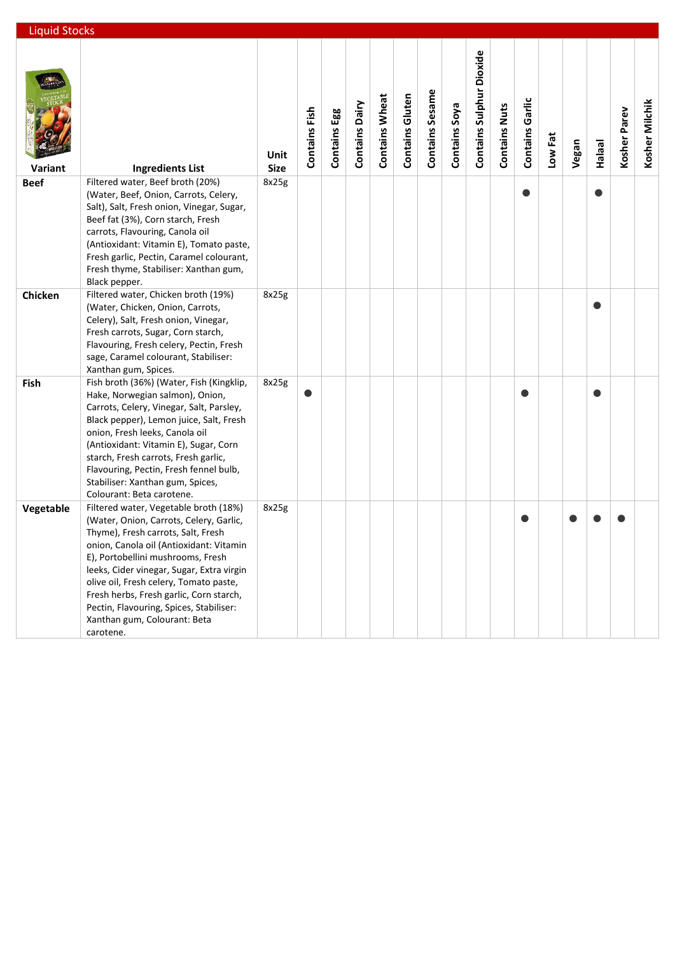| <b>Liquid Stocks</b> |                                                                                                                                                                                                                                                                                                                                                                                                                                  |                     |               |                 |                       |                       |                        |                 |               |                                 |                      |                        |         |       |               |              |                |
|----------------------|----------------------------------------------------------------------------------------------------------------------------------------------------------------------------------------------------------------------------------------------------------------------------------------------------------------------------------------------------------------------------------------------------------------------------------|---------------------|---------------|-----------------|-----------------------|-----------------------|------------------------|-----------------|---------------|---------------------------------|----------------------|------------------------|---------|-------|---------------|--------------|----------------|
| Variant              | <b>Ingredients List</b>                                                                                                                                                                                                                                                                                                                                                                                                          | Unit<br><b>Size</b> | Contains Fish | Egg<br>Contains | <b>Contains Dairy</b> | <b>Contains Wheat</b> | <b>Contains Gluten</b> | Contains Sesame | Contains Soya | <b>Contains Sulphur Dioxide</b> | <b>Contains Nuts</b> | <b>Contains Garlic</b> | Low Fat | Vegan | <b>Halaal</b> | Kosher Parev | Kosher Milchik |
| <b>Beef</b>          | Filtered water, Beef broth (20%)<br>(Water, Beef, Onion, Carrots, Celery,<br>Salt), Salt, Fresh onion, Vinegar, Sugar,<br>Beef fat (3%), Corn starch, Fresh<br>carrots, Flavouring, Canola oil<br>(Antioxidant: Vitamin E), Tomato paste,<br>Fresh garlic, Pectin, Caramel colourant,<br>Fresh thyme, Stabiliser: Xanthan gum,<br>Black pepper.                                                                                  | 8x25g               |               |                 |                       |                       |                        |                 |               |                                 |                      |                        |         |       |               |              |                |
| Chicken              | Filtered water, Chicken broth (19%)<br>(Water, Chicken, Onion, Carrots,<br>Celery), Salt, Fresh onion, Vinegar,<br>Fresh carrots, Sugar, Corn starch,<br>Flavouring, Fresh celery, Pectin, Fresh<br>sage, Caramel colourant, Stabiliser:<br>Xanthan gum, Spices.                                                                                                                                                                 | 8x25g               |               |                 |                       |                       |                        |                 |               |                                 |                      |                        |         |       |               |              |                |
| Fish                 | Fish broth (36%) (Water, Fish (Kingklip,<br>Hake, Norwegian salmon), Onion,<br>Carrots, Celery, Vinegar, Salt, Parsley,<br>Black pepper), Lemon juice, Salt, Fresh<br>onion, Fresh leeks, Canola oil<br>(Antioxidant: Vitamin E), Sugar, Corn<br>starch, Fresh carrots, Fresh garlic,<br>Flavouring, Pectin, Fresh fennel bulb,<br>Stabiliser: Xanthan gum, Spices,<br>Colourant: Beta carotene.                                 | 8x25g               |               |                 |                       |                       |                        |                 |               |                                 |                      |                        |         |       |               |              |                |
| Vegetable            | Filtered water, Vegetable broth (18%)<br>(Water, Onion, Carrots, Celery, Garlic,<br>Thyme), Fresh carrots, Salt, Fresh<br>onion, Canola oil (Antioxidant: Vitamin<br>E), Portobellini mushrooms, Fresh<br>leeks, Cider vinegar, Sugar, Extra virgin<br>olive oil, Fresh celery, Tomato paste,<br>Fresh herbs, Fresh garlic, Corn starch,<br>Pectin, Flavouring, Spices, Stabiliser:<br>Xanthan gum, Colourant: Beta<br>carotene. | 8x25g               |               |                 |                       |                       |                        |                 |               |                                 |                      |                        |         |       |               |              |                |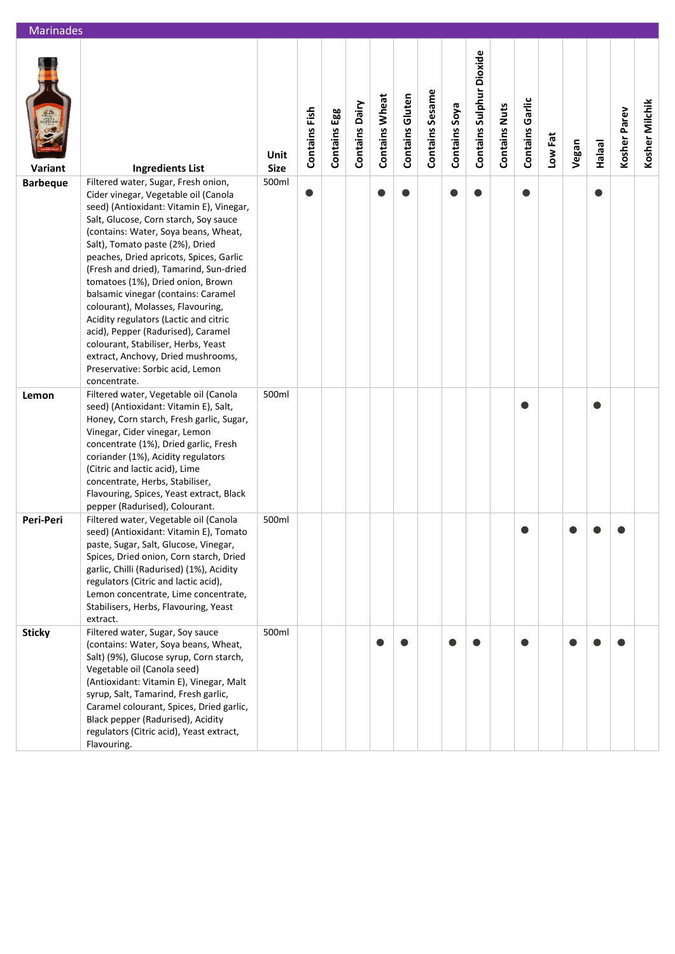| <b>Marinades</b> |                                                                                                                                                                                                                                                                                                                                                                                                                                                                                                                                                                                                                                                                   |                     |               |              |                |                       |                        |                 |               |                          |                      |                        |         |       |               |              |                |
|------------------|-------------------------------------------------------------------------------------------------------------------------------------------------------------------------------------------------------------------------------------------------------------------------------------------------------------------------------------------------------------------------------------------------------------------------------------------------------------------------------------------------------------------------------------------------------------------------------------------------------------------------------------------------------------------|---------------------|---------------|--------------|----------------|-----------------------|------------------------|-----------------|---------------|--------------------------|----------------------|------------------------|---------|-------|---------------|--------------|----------------|
| Variant          | <b>Ingredients List</b>                                                                                                                                                                                                                                                                                                                                                                                                                                                                                                                                                                                                                                           | Unit<br><b>Size</b> | Contains Fish | Contains Egg | Contains Dairy | <b>Contains Wheat</b> | <b>Contains Gluten</b> | Contains Sesame | Contains Soya | Contains Sulphur Dioxide | <b>Contains Nuts</b> | <b>Contains Garlic</b> | Low Fat | Vegan | <b>Halaal</b> | Kosher Parev | Kosher Milchik |
| <b>Barbeque</b>  | Filtered water, Sugar, Fresh onion,<br>Cider vinegar, Vegetable oil (Canola<br>seed) (Antioxidant: Vitamin E), Vinegar,<br>Salt, Glucose, Corn starch, Soy sauce<br>(contains: Water, Soya beans, Wheat,<br>Salt), Tomato paste (2%), Dried<br>peaches, Dried apricots, Spices, Garlic<br>(Fresh and dried), Tamarind, Sun-dried<br>tomatoes (1%), Dried onion, Brown<br>balsamic vinegar (contains: Caramel<br>colourant), Molasses, Flavouring,<br>Acidity regulators (Lactic and citric<br>acid), Pepper (Radurised), Caramel<br>colourant, Stabiliser, Herbs, Yeast<br>extract, Anchovy, Dried mushrooms,<br>Preservative: Sorbic acid, Lemon<br>concentrate. | 500ml               |               |              |                | $\bullet$             |                        |                 |               |                          |                      |                        |         |       |               |              |                |
| Lemon            | Filtered water, Vegetable oil (Canola<br>seed) (Antioxidant: Vitamin E), Salt,<br>Honey, Corn starch, Fresh garlic, Sugar,<br>Vinegar, Cider vinegar, Lemon<br>concentrate (1%), Dried garlic, Fresh<br>coriander (1%), Acidity regulators<br>(Citric and lactic acid), Lime<br>concentrate, Herbs, Stabiliser,<br>Flavouring, Spices, Yeast extract, Black<br>pepper (Radurised), Colourant.                                                                                                                                                                                                                                                                     | 500ml               |               |              |                |                       |                        |                 |               |                          |                      |                        |         |       |               |              |                |
| Peri-Peri        | Filtered water, Vegetable oil (Canola<br>seed) (Antioxidant: Vitamin E), Tomato<br>paste, Sugar, Salt, Glucose, Vinegar,<br>Spices, Dried onion, Corn starch, Dried<br>garlic, Chilli (Radurised) (1%), Acidity<br>regulators (Citric and lactic acid),<br>Lemon concentrate, Lime concentrate,<br>Stabilisers, Herbs, Flavouring, Yeast<br>extract.                                                                                                                                                                                                                                                                                                              | 500ml               |               |              |                |                       |                        |                 |               |                          |                      |                        |         |       |               |              |                |
| <b>Sticky</b>    | Filtered water, Sugar, Soy sauce<br>(contains: Water, Soya beans, Wheat,<br>Salt) (9%), Glucose syrup, Corn starch,<br>Vegetable oil (Canola seed)<br>(Antioxidant: Vitamin E), Vinegar, Malt<br>syrup, Salt, Tamarind, Fresh garlic,<br>Caramel colourant, Spices, Dried garlic,<br>Black pepper (Radurised), Acidity<br>regulators (Citric acid), Yeast extract,<br>Flavouring.                                                                                                                                                                                                                                                                                 | 500ml               |               |              |                |                       |                        |                 |               |                          |                      |                        |         |       |               |              |                |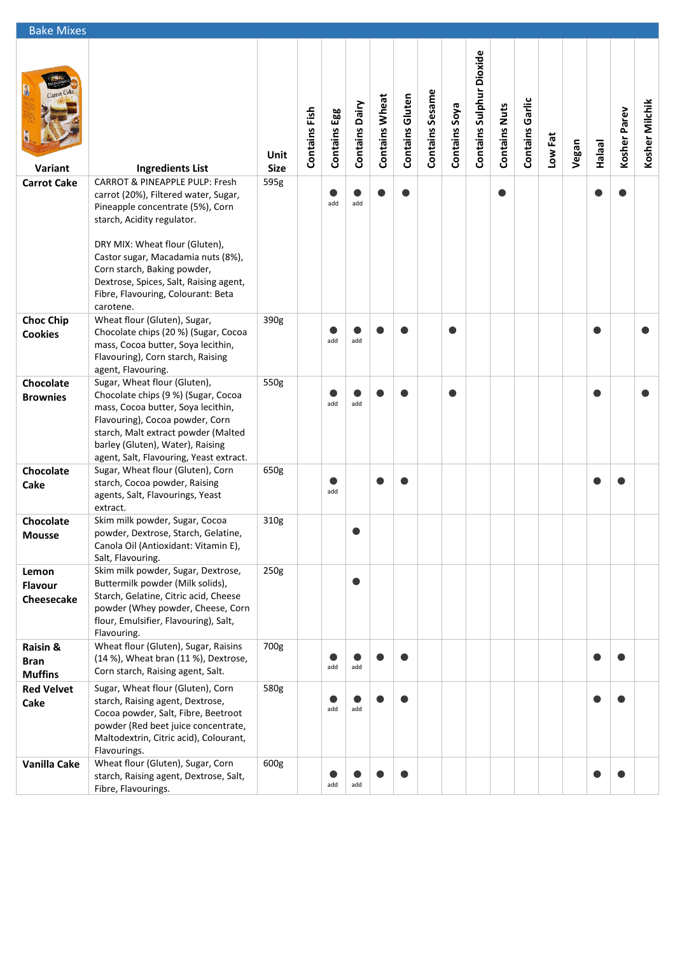| <b>Bake Mixes</b>             |                                                                                                                                                                                                                                                                                                            |                     |               |              |                       |                       |                        |                 |               |                          |                      |                        |         |       |               |              |                |
|-------------------------------|------------------------------------------------------------------------------------------------------------------------------------------------------------------------------------------------------------------------------------------------------------------------------------------------------------|---------------------|---------------|--------------|-----------------------|-----------------------|------------------------|-----------------|---------------|--------------------------|----------------------|------------------------|---------|-------|---------------|--------------|----------------|
| R<br>Variant                  | <b>Ingredients List</b>                                                                                                                                                                                                                                                                                    | Unit<br><b>Size</b> | Contains Fish | Contains Egg | <b>Contains Dairy</b> | <b>Contains Wheat</b> | <b>Contains Gluten</b> | Contains Sesame | Contains Soya | Contains Sulphur Dioxide | <b>Contains Nuts</b> | <b>Contains Garlic</b> | Low Fat | Vegan | <b>Halaal</b> | Kosher Parev | Kosher Milchik |
| <b>Carrot Cake</b>            | <b>CARROT &amp; PINEAPPLE PULP: Fresh</b>                                                                                                                                                                                                                                                                  | 595g                |               |              |                       |                       |                        |                 |               |                          |                      |                        |         |       |               |              |                |
|                               | carrot (20%), Filtered water, Sugar,<br>Pineapple concentrate (5%), Corn<br>starch, Acidity regulator.<br>DRY MIX: Wheat flour (Gluten),<br>Castor sugar, Macadamia nuts (8%),<br>Corn starch, Baking powder,<br>Dextrose, Spices, Salt, Raising agent,<br>Fibre, Flavouring, Colourant: Beta<br>carotene. |                     |               | add          | add                   |                       |                        |                 |               |                          | $\bullet$            |                        |         |       |               |              |                |
| <b>Choc Chip</b>              | Wheat flour (Gluten), Sugar,                                                                                                                                                                                                                                                                               | 390g                |               |              |                       |                       |                        |                 |               |                          |                      |                        |         |       |               |              |                |
| <b>Cookies</b>                | Chocolate chips (20 %) (Sugar, Cocoa<br>mass, Cocoa butter, Soya lecithin,<br>Flavouring), Corn starch, Raising<br>agent, Flavouring.                                                                                                                                                                      |                     |               | e<br>add     | add                   |                       |                        |                 | e             |                          |                      |                        |         |       | c             |              |                |
| Chocolate                     | Sugar, Wheat flour (Gluten),                                                                                                                                                                                                                                                                               | 550g                |               |              |                       |                       |                        |                 |               |                          |                      |                        |         |       |               |              |                |
| <b>Brownies</b>               | Chocolate chips (9 %) (Sugar, Cocoa<br>mass, Cocoa butter, Soya lecithin,<br>Flavouring), Cocoa powder, Corn<br>starch, Malt extract powder (Malted<br>barley (Gluten), Water), Raising<br>agent, Salt, Flavouring, Yeast extract.                                                                         |                     |               | add          | add                   |                       |                        |                 |               |                          |                      |                        |         |       |               |              |                |
| Chocolate                     | Sugar, Wheat flour (Gluten), Corn                                                                                                                                                                                                                                                                          | 650g                |               |              |                       |                       |                        |                 |               |                          |                      |                        |         |       |               |              |                |
| Cake                          | starch, Cocoa powder, Raising<br>agents, Salt, Flavourings, Yeast<br>extract.                                                                                                                                                                                                                              |                     |               | add          |                       |                       |                        |                 |               |                          |                      |                        |         |       |               |              |                |
| Chocolate                     | Skim milk powder, Sugar, Cocoa                                                                                                                                                                                                                                                                             | 310g                |               |              |                       |                       |                        |                 |               |                          |                      |                        |         |       |               |              |                |
| <b>Mousse</b>                 | powder, Dextrose, Starch, Gelatine,<br>Canola Oil (Antioxidant: Vitamin E),<br>Salt, Flavouring.                                                                                                                                                                                                           |                     |               |              |                       |                       |                        |                 |               |                          |                      |                        |         |       |               |              |                |
| Lemon                         | Skim milk powder, Sugar, Dextrose,                                                                                                                                                                                                                                                                         | 250g                |               |              |                       |                       |                        |                 |               |                          |                      |                        |         |       |               |              |                |
| <b>Flavour</b><br>Cheesecake  | Buttermilk powder (Milk solids),<br>Starch, Gelatine, Citric acid, Cheese<br>powder (Whey powder, Cheese, Corn<br>flour, Emulsifier, Flavouring), Salt,<br>Flavouring.                                                                                                                                     |                     |               |              |                       |                       |                        |                 |               |                          |                      |                        |         |       |               |              |                |
| Raisin &                      | Wheat flour (Gluten), Sugar, Raisins                                                                                                                                                                                                                                                                       | 700g                |               |              |                       |                       |                        |                 |               |                          |                      |                        |         |       |               |              |                |
| <b>Bran</b><br><b>Muffins</b> | (14 %), Wheat bran (11 %), Dextrose,<br>Corn starch, Raising agent, Salt.                                                                                                                                                                                                                                  |                     |               | add          | add                   |                       |                        |                 |               |                          |                      |                        |         |       |               |              |                |
| <b>Red Velvet</b><br>Cake     | Sugar, Wheat flour (Gluten), Corn<br>starch, Raising agent, Dextrose,<br>Cocoa powder, Salt, Fibre, Beetroot<br>powder (Red beet juice concentrate,<br>Maltodextrin, Citric acid), Colourant,<br>Flavourings.                                                                                              | 580g                |               | add          | add                   |                       |                        |                 |               |                          |                      |                        |         |       |               |              |                |
| Vanilla Cake                  | Wheat flour (Gluten), Sugar, Corn<br>starch, Raising agent, Dextrose, Salt,<br>Fibre, Flavourings.                                                                                                                                                                                                         | 600g                |               | add          | add                   |                       |                        |                 |               |                          |                      |                        |         |       |               |              |                |